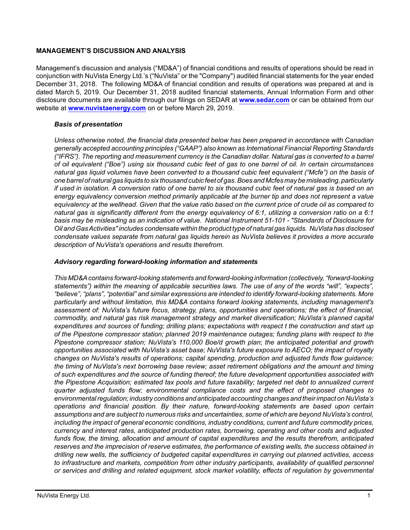## **MANAGEMENT'S DISCUSSION AND ANALYSIS**

Management's discussion and analysis ("MD&A") of financial conditions and results of operations should be read in conjunction with NuVista Energy Ltd.'s ("NuVista" or the "Company") audited financial statements for the year ended December 31, 2018. The following MD&A of financial condition and results of operations was prepared at and is dated March 5, 2019. Our December 31, 2018 audited financial statements, Annual Information Form and other disclosure documents are available through our filings on SEDAR at **[www.sedar.com](http://www.sedar.com)** or can be obtained from our website at **[www.nuvistaenergy.com](http://www.nuvistaenergy.com)** on or before March 29, 2019.

# *Basis of presentation*

*Unless otherwise noted, the financial data presented below has been prepared in accordance with Canadian generally accepted accounting principles ("GAAP") also known as International Financial Reporting Standards ("IFRS"). The reporting and measurement currency is the Canadian dollar. Natural gas is converted to a barrel of oil equivalent ("Boe") using six thousand cubic feet of gas to one barrel of oil. In certain circumstances natural gas liquid volumes have been converted to a thousand cubic feet equivalent ("Mcfe") on the basis of one barrel of natural gas liquids to six thousand cubic feet of gas. Boes and Mcfes may be misleading, particularly if used in isolation. A conversion ratio of one barrel to six thousand cubic feet of natural gas is based on an energy equivalency conversion method primarily applicable at the burner tip and does not represent a value equivalency at the wellhead. Given that the value ratio based on the current price of crude oil as compared to natural gas is significantly different from the energy equivalency of 6:1, utilizing a conversion ratio on a 6:1 basis may be misleading as an indication of value. National Instrument 51-101 - "Standards of Disclosure for Oil and Gas Activities" includes condensate within the product type of natural gas liquids. NuVista has disclosed condensate values separate from natural gas liquids herein as NuVista believes it provides a more accurate description of NuVista's operations and results therefrom.* 

# *Advisory regarding forward-looking information and statements*

*This MD&A contains forward-looking statements and forward-looking information (collectively, "forward-looking statements") within the meaning of applicable securities laws. The use of any of the words "will", "expects", "believe", "plans", "potential" and similar expressions are intended to identify forward-looking statements. More particularly and without limitation, this MD&A contains forward looking statements, including management's assessment of: NuVista's future focus, strategy, plans, opportunities and operations; the effect of financial, commodity, and natural gas risk management strategy and market diversification; NuVista's planned capital expenditures and sources of funding; drilling plans; expectations with respect t the construction and start up of the Pipestone compressor station; planned 2019 maintenance outages; funding plans with respect to the Pipestone compressor station; NuVista's 110,000 Boe/d growth plan; the anticipated potential and growth opportunities associated with NuVista's asset base; NuVista's future exposure to AECO; the impact of royalty changes on NuVista's results of operations; capital spending, production and adjusted funds flow guidance; the timing of NuVista's next borrowing base review; asset retirement obligations and the amount and timing of such expenditures and the source of funding thereof; the future development opportunities associated with the Pipestone Acquisition; estimated tax pools and future taxability; targeted net debt to annualized current quarter adjusted funds flow; environmental compliance costs and the effect of proposed changes to environmental regulation; industry conditions and anticipated accounting changes and their impact on NuVista's operations and financial position. By their nature, forward-looking statements are based upon certain assumptions and are subject to numerous risks and uncertainties, some of which are beyond NuVista's control, including the impact of general economic conditions, industry conditions, current and future commodity prices, currency and interest rates, anticipated production rates, borrowing, operating and other costs and adjusted funds flow, the timing, allocation and amount of capital expenditures and the results therefrom, anticipated reserves and the imprecision of reserve estimates, the performance of existing wells, the success obtained in drilling new wells, the sufficiency of budgeted capital expenditures in carrying out planned activities, access to infrastructure and markets, competition from other industry participants, availability of qualified personnel or services and drilling and related equipment, stock market volatility, effects of regulation by governmental*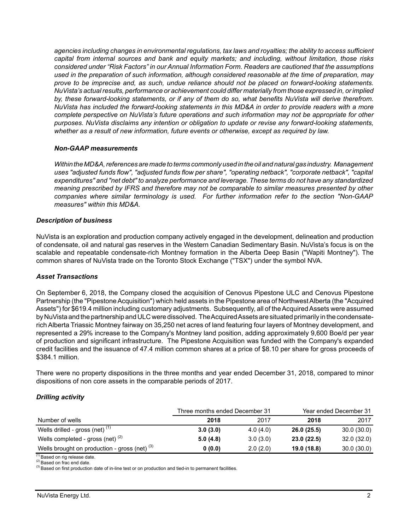*agencies including changes in environmental regulations, tax laws and royalties; the ability to access sufficient capital from internal sources and bank and equity markets; and including, without limitation, those risks considered under "Risk Factors" in our Annual Information Form. Readers are cautioned that the assumptions used in the preparation of such information, although considered reasonable at the time of preparation, may prove to be imprecise and, as such, undue reliance should not be placed on forward-looking statements. NuVista's actual results, performance or achievement could differ materially from those expressed in, or implied by, these forward-looking statements, or if any of them do so, what benefits NuVista will derive therefrom. NuVista has included the forward-looking statements in this MD&A in order to provide readers with a more complete perspective on NuVista's future operations and such information may not be appropriate for other purposes. NuVista disclaims any intention or obligation to update or revise any forward-looking statements, whether as a result of new information, future events or otherwise, except as required by law.*

#### *Non-GAAP measurements*

*Within the MD&A, references are made to terms commonly used in the oil and natural gas industry. Management uses "adjusted funds flow", "adjusted funds flow per share", "operating netback", "corporate netback", "capital expenditures" and "net debt" to analyze performance and leverage. These terms do not have any standardized meaning prescribed by IFRS and therefore may not be comparable to similar measures presented by other companies where similar terminology is used. For further information refer to the section "Non-GAAP measures" within this MD&A.* 

#### *Description of business*

NuVista is an exploration and production company actively engaged in the development, delineation and production of condensate, oil and natural gas reserves in the Western Canadian Sedimentary Basin. NuVista's focus is on the scalable and repeatable condensate-rich Montney formation in the Alberta Deep Basin ("Wapiti Montney"). The common shares of NuVista trade on the Toronto Stock Exchange ("TSX") under the symbol NVA.

#### *Asset Transactions*

On September 6, 2018, the Company closed the acquisition of Cenovus Pipestone ULC and Cenovus Pipestone Partnership (the "Pipestone Acquisition") which held assets in the Pipestone area of Northwest Alberta (the "Acquired Assets") for \$619.4 million including customary adjustments. Subsequently, all of the Acquired Assets were assumed by NuVista and the partnership and ULC were dissolved. The Acquired Assets are situated primarily in the condensaterich Alberta Triassic Montney fairway on 35,250 net acres of land featuring four layers of Montney development, and represented a 29% increase to the Company's Montney land position, adding approximately 9,600 Boe/d per year of production and significant infrastructure. The Pipestone Acquisition was funded with the Company's expanded credit facilities and the issuance of 47.4 million common shares at a price of \$8.10 per share for gross proceeds of \$384.1 million.

There were no property dispositions in the three months and year ended December 31, 2018, compared to minor dispositions of non core assets in the comparable periods of 2017.

#### *Drilling activity*

|                                                 | Three months ended December 31 |          | Year ended December 31 |            |  |  |
|-------------------------------------------------|--------------------------------|----------|------------------------|------------|--|--|
| Number of wells                                 | 2018                           | 2017     | 2018                   | 2017       |  |  |
| Wells drilled - gross (net) $(1)$               | 3.0(3.0)                       | 4.0(4.0) | 26.0(25.5)             | 30.0(30.0) |  |  |
| Wells completed - gross (net) $(2)$             | 5.0(4.8)                       | 3.0(3.0) | 23.0(22.5)             | 32.0(32.0) |  |  |
| Wells brought on production - gross (net) $(3)$ | 0(0.0)                         | 2.0(2.0) | 19.0 (18.8)            | 30.0(30.0) |  |  |

(1) Based on rig release date.

(2) Based on frac end date.

<sup>(3)</sup> Based on first production date of in-line test or on production and tied-in to permanent facilities.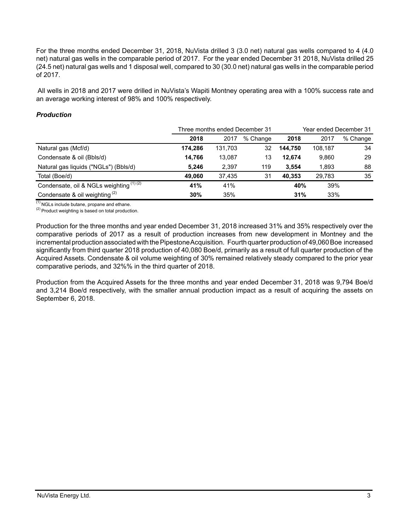For the three months ended December 31, 2018, NuVista drilled 3 (3.0 net) natural gas wells compared to 4 (4.0 net) natural gas wells in the comparable period of 2017. For the year ended December 31 2018, NuVista drilled 25 (24.5 net) natural gas wells and 1 disposal well, compared to 30 (30.0 net) natural gas wells in the comparable period of 2017.

 All wells in 2018 and 2017 were drilled in NuVista's Wapiti Montney operating area with a 100% success rate and an average working interest of 98% and 100% respectively.

#### *Production*

|                                          |         |         | Three months ended December 31 | Year ended December 31 |         |          |  |
|------------------------------------------|---------|---------|--------------------------------|------------------------|---------|----------|--|
|                                          | 2018    | 2017    | % Change                       | 2018                   | 2017    | % Change |  |
| Natural gas (Mcf/d)                      | 174.286 | 131,703 | 32                             | 144.750                | 108.187 | 34       |  |
| Condensate & oil (Bbls/d)                | 14.766  | 13,087  | 13                             | 12.674                 | 9,860   | 29       |  |
| Natural gas liquids ("NGLs") (Bbls/d)    | 5.246   | 2,397   | 119                            | 3.554                  | 1,893   | 88       |  |
| Total (Boe/d)                            | 49.060  | 37.435  | 31                             | 40.353                 | 29.783  | 35       |  |
| Condensate, oil & NGLs weighting (1) (2) | 41%     | 41%     |                                | 40%                    | 39%     |          |  |
| Condensate & oil weighting $(2)$         | 30%     | 35%     |                                | 31%                    | 33%     |          |  |

 $\overline{^{(1)}}$  NGLs include butane, propane and ethane.

 $(2)$  Product weighting is based on total production.

Production for the three months and year ended December 31, 2018 increased 31% and 35% respectively over the comparative periods of 2017 as a result of production increases from new development in Montney and the incremental production associated with the Pipestone Acquisition. Fourth quarter production of 49,060 Boe increased significantly from third quarter 2018 production of 40,080 Boe/d, primarily as a result of full quarter production of the Acquired Assets. Condensate & oil volume weighting of 30% remained relatively steady compared to the prior year comparative periods, and 32%% in the third quarter of 2018.

Production from the Acquired Assets for the three months and year ended December 31, 2018 was 9,794 Boe/d and 3,214 Boe/d respectively, with the smaller annual production impact as a result of acquiring the assets on September 6, 2018.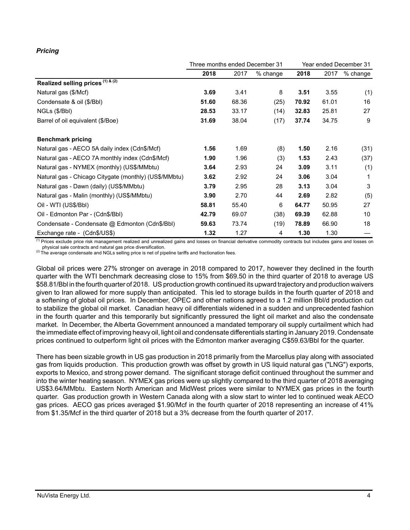# *Pricing*

|                                                       | Three months ended December 31 |       |          | Year ended December 31 |       |            |
|-------------------------------------------------------|--------------------------------|-------|----------|------------------------|-------|------------|
|                                                       | 2018                           | 2017  | % change | 2018                   | 2017  | $%$ change |
| Realized selling prices (1) & (2)                     |                                |       |          |                        |       |            |
| Natural gas (\$/Mcf)                                  | 3.69                           | 3.41  | 8        | 3.51                   | 3.55  | (1)        |
| Condensate & oil (\$/Bbl)                             | 51.60                          | 68.36 | (25)     | 70.92                  | 61.01 | 16         |
| NGLs (\$/Bbl)                                         | 28.53                          | 33.17 | (14)     | 32.83                  | 25.81 | 27         |
| Barrel of oil equivalent (\$/Boe)                     | 31.69                          | 38.04 | (17)     | 37.74                  | 34.75 | 9          |
| <b>Benchmark pricing</b>                              |                                |       |          |                        |       |            |
| Natural gas - AECO 5A daily index (Cdn\$/Mcf)         | 1.56                           | 1.69  | (8)      | 1.50                   | 2.16  | (31)       |
| Natural gas - AECO 7A monthly index (Cdn\$/Mcf)       | 1.90                           | 1.96  | (3)      | 1.53                   | 2.43  | (37)       |
| Natural gas - NYMEX (monthly) (US\$/MMbtu)            | 3.64                           | 2.93  | 24       | 3.09                   | 3.11  | (1)        |
| Natural gas - Chicago Citygate (monthly) (US\$/MMbtu) | 3.62                           | 2.92  | 24       | 3.06                   | 3.04  | 1          |
| Natural gas - Dawn (daily) (US\$/MMbtu)               | 3.79                           | 2.95  | 28       | 3.13                   | 3.04  | 3          |
| Natural gas - Malin (monthly) (US\$/MMbtu)            | 3.90                           | 2.70  | 44       | 2.69                   | 2.82  | (5)        |
| Oil - WTI (US\$/BbI)                                  | 58.81                          | 55.40 | 6        | 64.77                  | 50.95 | 27         |
| Oil - Edmonton Par - (Cdn\$/Bbl)                      | 42.79                          | 69.07 | (38)     | 69.39                  | 62.88 | 10         |
| Condensate - Condensate @ Edmonton (Cdn\$/Bbl)        | 59.63                          | 73.74 | (19)     | 78.89                  | 66.90 | 18         |
| Exchange rate - (Cdn\$/US\$)                          | 1.32                           | 1.27  | 4        | 1.30                   | 1.30  |            |

<sup>(1)</sup> Prices exclude price risk management realized and unrealized gains and losses on financial derivative commodity contracts but includes gains and losses on physical sale contracts and natural gas price diversification.

(2) The average condensate and NGLs selling price is net of pipeline tariffs and fractionation fees.

Global oil prices were 27% stronger on average in 2018 compared to 2017, however they declined in the fourth quarter with the WTI benchmark decreasing close to 15% from \$69.50 in the third quarter of 2018 to average US \$58.81/Bbl in the fourth quarter of 2018. US production growth continued its upward trajectory and production waivers given to Iran allowed for more supply than anticipated. This led to storage builds in the fourth quarter of 2018 and a softening of global oil prices. In December, OPEC and other nations agreed to a 1.2 million Bbl/d production cut to stabilize the global oil market. Canadian heavy oil differentials widened in a sudden and unprecedented fashion in the fourth quarter and this temporarily but significantly pressured the light oil market and also the condensate market. In December, the Alberta Government announced a mandated temporary oil supply curtailment which had the immediate effect of improving heavy oil, light oil and condensate differentials starting in January 2019. Condensate prices continued to outperform light oil prices with the Edmonton marker averaging C\$59.63/Bbl for the quarter.

There has been sizable growth in US gas production in 2018 primarily from the Marcellus play along with associated gas from liquids production. This production growth was offset by growth in US liquid natural gas ("LNG") exports, exports to Mexico, and strong power demand. The significant storage deficit continued throughout the summer and into the winter heating season. NYMEX gas prices were up slightly compared to the third quarter of 2018 averaging US\$3.64/MMbtu. Eastern North American and MidWest prices were similar to NYMEX gas prices in the fourth quarter. Gas production growth in Western Canada along with a slow start to winter led to continued weak AECO gas prices. AECO gas prices averaged \$1.90/Mcf in the fourth quarter of 2018 representing an increase of 41% from \$1.35/Mcf in the third quarter of 2018 but a 3% decrease from the fourth quarter of 2017.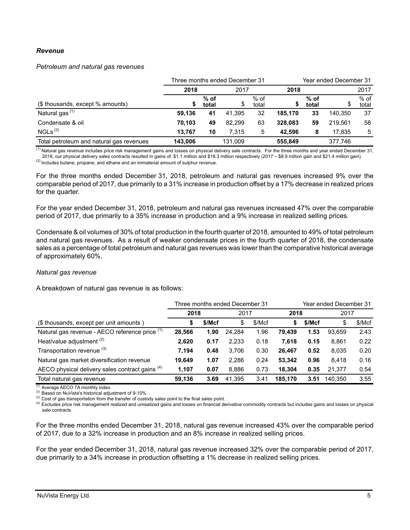#### *Revenue*

#### *Petroleum and natural gas revenues*

|                                          |         |                 | Three months ended December 31 |                 |         | Year ended December 31 |         |                 |  |
|------------------------------------------|---------|-----------------|--------------------------------|-----------------|---------|------------------------|---------|-----------------|--|
|                                          | 2018    |                 | 2017                           |                 | 2018    |                        |         | 2017            |  |
| (\$ thousands, except % amounts)         | S       | $%$ of<br>total | \$                             | $%$ of<br>total |         | $%$ of<br>total        |         | $%$ of<br>total |  |
| Natural gas <sup>(1)</sup>               | 59.136  | 41              | 41.395                         | 32              | 185.170 | 33                     | 140.350 | 37              |  |
| Condensate & oil                         | 70.103  | 49              | 82.299                         | 63              | 328.083 | 59                     | 219.561 | 58              |  |
| NGLs <sup>(2)</sup>                      | 13.767  | 10              | 7.315                          | 5               | 42.596  | 8                      | 17.835  | 5               |  |
| Total petroleum and natural gas revenues | 143.006 |                 | 131.009                        |                 | 555.849 |                        | 377.746 |                 |  |

<sup>(1)</sup> Natural gas revenue includes price risk management gains and losses on physical delivery sale contracts. For the three months and year ended December 31,

2018, our physical delivery sales contracts resulted in gains of \$1.1 million and \$18.3 million respectively (2017 – \$8.9 million gain and \$21.4 million gain).  $<sup>(2)</sup>$  Includes butane, propane, and ethane and an immaterial amount of sulphur revenue.</sup>

For the three months ended December 31, 2018, petroleum and natural gas revenues increased 9% over the comparable period of 2017, due primarily to a 31% increase in production offset by a 17% decrease in realized prices for the quarter.

For the year ended December 31, 2018, petroleum and natural gas revenues increased 47% over the comparable period of 2017, due primarily to a 35% increase in production and a 9% increase in realized selling prices.

Condensate & oil volumes of 30% of total production in the fourth quarter of 2018, amounted to 49% of total petroleum and natural gas revenues. As a result of weaker condensate prices in the fourth quarter of 2018, the condensate sales as a percentage of total petroleum and natural gas revenues was lower than the comparative historical average of approximately 60%.

#### *Natural gas revenue*

A breakdown of natural gas revenue is as follows:

|                                                 |              |      | Three months ended December 31 |        | Year ended December 31 |        |         |        |
|-------------------------------------------------|--------------|------|--------------------------------|--------|------------------------|--------|---------|--------|
|                                                 | 2018         |      | 2017                           |        | 2018                   |        | 2017    |        |
| (\$ thousands, except per unit amounts)         | \$/Mcf<br>\$ |      | \$                             | \$/Mcf | S                      | \$/Mcf | \$      | \$/Mcf |
| Natural gas revenue - AECO reference price (1)  | 28,566       | 1.90 | 24.284                         | 1.96   | 79.439                 | 1.53   | 93.659  | 2.43   |
| Heat/value adjustment <sup>(2)</sup>            | 2,620        | 0.17 | 2,233                          | 0.18   | 7.618                  | 0.15   | 8.861   | 0.22   |
| Transportation revenue (3)                      | 7.194        | 0.48 | 3.706                          | 0.30   | 26.467                 | 0.52   | 8.035   | 0.20   |
| Natural gas market diversification revenue      | 19,649       | 1.07 | 2.286                          | 0.24   | 53.342                 | 0.96   | 8.418   | 0.16   |
| AECO physical delivery sales contract gains (4) | 1,107        | 0.07 | 8.886                          | 0.73   | 18.304                 | 0.35   | 21.377  | 0.54   |
| Total natural gas revenue                       | 59,136       | 3.69 | 41.395                         | 3.41   | 185.170                | 3.51   | 140.350 | 3.55   |

 $(1)$  Average AECO 7A monthly index.

(2) Based on NuVista's historical adjustment of 9-10%.

<sup>(3)</sup> Cost of gas transportation from the transfer of custody sales point to the final sales point.

<sup>(4)</sup> Excludes price risk management realized and unrealized gains and losses on financial derivative commodity contracts but includes gains and losses on physical sale contracts.

For the three months ended December 31, 2018, natural gas revenue increased 43% over the comparable period of 2017, due to a 32% increase in production and an 8% increase in realized selling prices.

For the year ended December 31, 2018, natural gas revenue increased 32% over the comparable period of 2017, due primarily to a 34% increase in production offsetting a 1% decrease in realized selling prices.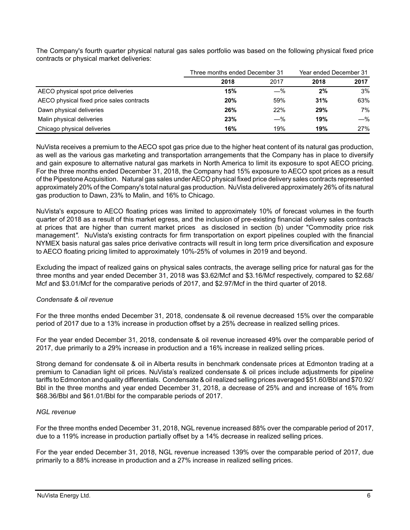|                                           | Three months ended December 31 | Year ended December 31 |      |      |
|-------------------------------------------|--------------------------------|------------------------|------|------|
|                                           | 2018                           | 2017                   | 2018 | 2017 |
| AECO physical spot price deliveries       | 15%                            | $-\%$                  | 2%   | 3%   |
| AECO physical fixed price sales contracts | 20%                            | 59%                    | 31%  | 63%  |
| Dawn physical deliveries                  | 26%                            | 22%                    | 29%  | 7%   |
| Malin physical deliveries                 | 23%                            | $-\%$                  | 19%  | —%   |
| Chicago physical deliveries               | 16%                            | 19%                    | 19%  | 27%  |

The Company's fourth quarter physical natural gas sales portfolio was based on the following physical fixed price contracts or physical market deliveries:

NuVista receives a premium to the AECO spot gas price due to the higher heat content of its natural gas production, as well as the various gas marketing and transportation arrangements that the Company has in place to diversify and gain exposure to alternative natural gas markets in North America to limit its exposure to spot AECO pricing. For the three months ended December 31, 2018, the Company had 15% exposure to AECO spot prices as a result of the Pipestone Acquisition. Natural gas sales under AECO physical fixed price delivery sales contracts represented approximately 20% of the Company's total natural gas production. NuVista delivered approximately 26% of its natural gas production to Dawn, 23% to Malin, and 16% to Chicago.

NuVista's exposure to AECO floating prices was limited to approximately 10% of forecast volumes in the fourth quarter of 2018 as a result of this market egress, and the inclusion of pre-existing financial delivery sales contracts at prices that are higher than current market prices as disclosed in section (b) under "Commodity price risk management*".* NuVista's existing contracts for firm transportation on export pipelines coupled with the financial NYMEX basis natural gas sales price derivative contracts will result in long term price diversification and exposure to AECO floating pricing limited to approximately 10%-25% of volumes in 2019 and beyond.

Excluding the impact of realized gains on physical sales contracts, the average selling price for natural gas for the three months and year ended December 31, 2018 was \$3.62/Mcf and \$3.16/Mcf respectively, compared to \$2.68/ Mcf and \$3.01/Mcf for the comparative periods of 2017, and \$2.97/Mcf in the third quarter of 2018.

## *Condensate & oil revenue*

For the three months ended December 31, 2018, condensate & oil revenue decreased 15% over the comparable period of 2017 due to a 13% increase in production offset by a 25% decrease in realized selling prices.

For the year ended December 31, 2018, condensate & oil revenue increased 49% over the comparable period of 2017, due primarily to a 29% increase in production and a 16% increase in realized selling prices.

Strong demand for condensate & oil in Alberta results in benchmark condensate prices at Edmonton trading at a premium to Canadian light oil prices. NuVista's realized condensate & oil prices include adjustments for pipeline tariffs to Edmonton and quality differentials. Condensate & oil realized selling prices averaged \$51.60/Bbl and \$70.92/ Bbl in the three months and year ended December 31, 2018, a decrease of 25% and and increase of 16% from \$68.36/Bbl and \$61.01/Bbl for the comparable periods of 2017.

## *NGL revenue*

For the three months ended December 31, 2018, NGL revenue increased 88% over the comparable period of 2017, due to a 119% increase in production partially offset by a 14% decrease in realized selling prices.

For the year ended December 31, 2018, NGL revenue increased 139% over the comparable period of 2017, due primarily to a 88% increase in production and a 27% increase in realized selling prices.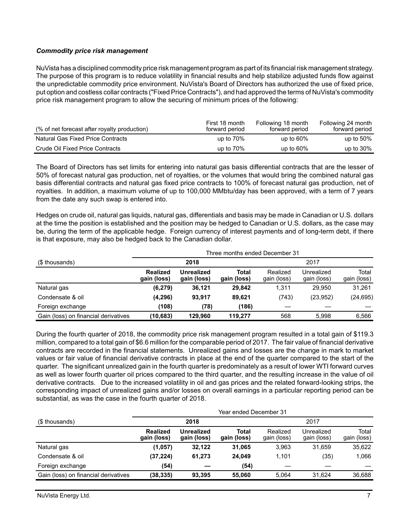## *Commodity price risk management*

NuVista has a disciplined commodity price risk management program as part of its financial risk management strategy. The purpose of this program is to reduce volatility in financial results and help stabilize adjusted funds flow against the unpredictable commodity price environment. NuVista's Board of Directors has authorized the use of fixed price, put option and costless collar contracts ("Fixed Price Contracts"), and had approved the terms of NuVista's commodity price risk management program to allow the securing of minimum prices of the following:

| (% of net forecast after royalty production) | First 18 month<br>forward period | Following 18 month<br>forward period | Following 24 month<br>forward period |
|----------------------------------------------|----------------------------------|--------------------------------------|--------------------------------------|
| Natural Gas Fixed Price Contracts            | up to $70\%$                     | up to $60\%$                         | up to $50\%$                         |
| Crude Oil Fixed Price Contracts              | up to $70\%$                     | up to $60\%$                         | up to $30\%$                         |

The Board of Directors has set limits for entering into natural gas basis differential contracts that are the lesser of 50% of forecast natural gas production, net of royalties, or the volumes that would bring the combined natural gas basis differential contracts and natural gas fixed price contracts to 100% of forecast natural gas production, net of royalties. In addition, a maximum volume of up to 100,000 MMbtu/day has been approved, with a term of 7 years from the date any such swap is entered into.

Hedges on crude oil, natural gas liquids, natural gas, differentials and basis may be made in Canadian or U.S. dollars at the time the position is established and the position may be hedged to Canadian or U.S. dollars, as the case may be, during the term of the applicable hedge. Foreign currency of interest payments and of long-term debt, if there is that exposure, may also be hedged back to the Canadian dollar.

|                                      |                                |                           | Three months ended December 31 |                         |                           |                      |  |  |
|--------------------------------------|--------------------------------|---------------------------|--------------------------------|-------------------------|---------------------------|----------------------|--|--|
| (\$ thousands)                       |                                | 2018                      |                                |                         | 2017                      |                      |  |  |
|                                      | <b>Realized</b><br>gain (loss) | Unrealized<br>gain (loss) | Total<br>gain (loss)           | Realized<br>gain (loss) | Unrealized<br>gain (loss) | Total<br>gain (loss) |  |  |
| Natural gas                          | (6, 279)                       | 36,121                    | 29.842                         | 1.311                   | 29,950                    | 31,261               |  |  |
| Condensate & oil                     | (4,296)                        | 93.917                    | 89.621                         | (743)                   | (23, 952)                 | (24, 695)            |  |  |
| Foreign exchange                     | (108)                          | (78)                      | (186)                          |                         |                           |                      |  |  |
| Gain (loss) on financial derivatives | (10, 683)                      | 129.960                   | 119.277                        | 568                     | 5.998                     | 6.566                |  |  |

During the fourth quarter of 2018, the commodity price risk management program resulted in a total gain of \$119.3 million, compared to a total gain of \$6.6 million for the comparable period of 2017. The fair value of financial derivative contracts are recorded in the financial statements. Unrealized gains and losses are the change in mark to market values or fair value of financial derivative contracts in place at the end of the quarter compared to the start of the quarter. The significant unrealized gain in the fourth quarter is predominately as a result of lower WTI forward curves as well as lower fourth quarter oil prices compared to the third quarter, and the resulting increase in the value of oil derivative contracts. Due to the increased volatility in oil and gas prices and the related forward-looking strips, the corresponding impact of unrealized gains and/or losses on overall earnings in a particular reporting period can be substantial, as was the case in the fourth quarter of 2018.

|                                      |                                |                                  | Year ended December 31 |                         |                           | Total<br>gain (loss) |  |  |  |  |
|--------------------------------------|--------------------------------|----------------------------------|------------------------|-------------------------|---------------------------|----------------------|--|--|--|--|
| (\$ thousands)                       | 2018                           |                                  |                        |                         | 2017                      |                      |  |  |  |  |
|                                      | <b>Realized</b><br>gain (loss) | <b>Unrealized</b><br>gain (loss) | Total<br>gain (loss)   | Realized<br>gain (loss) | Unrealized<br>gain (loss) |                      |  |  |  |  |
| Natural gas                          | (1,057)                        | 32,122                           | 31.065                 | 3.963                   | 31.659                    | 35,622               |  |  |  |  |
| Condensate & oil                     | (37, 224)                      | 61,273                           | 24.049                 | 1.101                   | (35)                      | 1,066                |  |  |  |  |
| Foreign exchange                     | (54)                           |                                  | (54)                   |                         |                           |                      |  |  |  |  |
| Gain (loss) on financial derivatives | (38, 335)                      | 93.395                           | 55.060                 | 5.064                   | 31.624                    | 36,688               |  |  |  |  |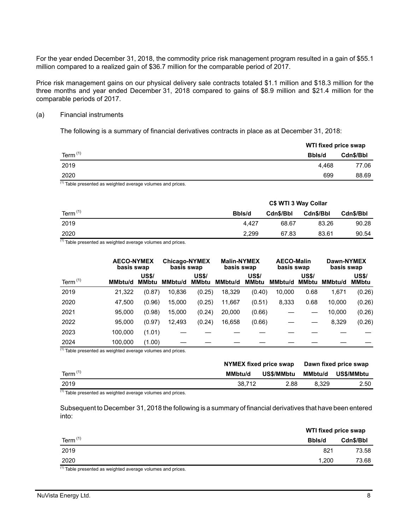For the year ended December 31, 2018, the commodity price risk management program resulted in a gain of \$55.1 million compared to a realized gain of \$36.7 million for the comparable period of 2017.

Price risk management gains on our physical delivery sale contracts totaled \$1.1 million and \$18.3 million for the three months and year ended December 31, 2018 compared to gains of \$8.9 million and \$21.4 million for the comparable periods of 2017.

#### (a) Financial instruments

The following is a summary of financial derivatives contracts in place as at December 31, 2018:

|                  |        | WTI fixed price swap |  |  |
|------------------|--------|----------------------|--|--|
| Term $(1)$       | Bbls/d | Cdn\$/Bbl            |  |  |
| 2019             | 4.468  | 77.06                |  |  |
| 2020<br>$\cdots$ | 699    | 88.69                |  |  |

(1) Table presented as weighted average volumes and prices.

|            | C\$ WTI 3 Way Collar |           |           |           |  |  |
|------------|----------------------|-----------|-----------|-----------|--|--|
| Term $(1)$ | Bbls/d               | Cdn\$/Bbl | Cdn\$/Bbl | Cdn\$/Bbl |  |  |
| 2019       | 4.427                | 68.67     | 83.26     | 90.28     |  |  |
| 2020       | 2.299                | 67.83     | 83.61     | 90.54     |  |  |

 $(1)$  Table presented as weighted average volumes and prices.

|            | <b>AECO-NYMEX</b><br>basis swap |                              | <b>Chicago-NYMEX</b><br>basis swap |                              |                | <b>Malin-NYMEX</b><br>basis swap |         | <b>AECO-Malin</b><br>basis swap |                | Dawn-NYMEX<br>basis swap     |  |
|------------|---------------------------------|------------------------------|------------------------------------|------------------------------|----------------|----------------------------------|---------|---------------------------------|----------------|------------------------------|--|
| Term $(1)$ | MMbtu/d                         | <b>US\$/</b><br><b>MMbtu</b> | MMbtu/d                            | <b>US\$/</b><br><b>MMbtu</b> | <b>MMbtu/d</b> | <b>US\$/</b><br><b>MMbtu</b>     | MMbtu/d | <b>US\$/</b><br><b>MMbtu</b>    | <b>MMbtu/d</b> | <b>US\$/</b><br><b>MMbtu</b> |  |
| 2019       | 21.322                          | (0.87)                       | 10,836                             | (0.25)                       | 18,329         | (0.40)                           | 10,000  | 0.68                            | 1,671          | (0.26)                       |  |
| 2020       | 47.500                          | (0.96)                       | 15,000                             | (0.25)                       | 11,667         | (0.51)                           | 8,333   | 0.68                            | 10,000         | (0.26)                       |  |
| 2021       | 95.000                          | (0.98)                       | 15.000                             | (0.24)                       | 20,000         | (0.66)                           |         |                                 | 10.000         | (0.26)                       |  |
| 2022       | 95,000                          | (0.97)                       | 12,493                             | (0.24)                       | 16,658         | (0.66)                           |         |                                 | 8,329          | (0.26)                       |  |
| 2023       | 100.000                         | (1.01)                       |                                    |                              |                |                                  |         |                                 |                |                              |  |
| 2024       | 100.000                         | (1.00)                       |                                    |                              |                |                                  |         |                                 |                |                              |  |

 $(1)$  Table presented as weighted average volumes and prices.

|            |         | NYMEX fixed price swap | Dawn fixed price swap |            |
|------------|---------|------------------------|-----------------------|------------|
| Term $(1)$ | MMbtu/d | US\$/MMbtu             | MMbtu/d               | US\$/MMbtu |
| 2019       | 38.712  | 2.88                   | 8.329                 | 2.50       |

(1) Table presented as weighted average volumes and prices.

Subsequent to December 31, 2018 the following is a summary of financial derivatives that have been entered into:

|                                                                                   | WTI fixed price swap |           |
|-----------------------------------------------------------------------------------|----------------------|-----------|
| Term $(1)$                                                                        | Bbls/d               | Cdn\$/Bbl |
| 2019                                                                              | 821                  | 73.58     |
| 2020                                                                              | 1.200                | 73.68     |
| (1) Table accessible discussions to the collection of the books of the discussion |                      |           |

<sup>(1)</sup> Table presented as weighted average volumes and prices.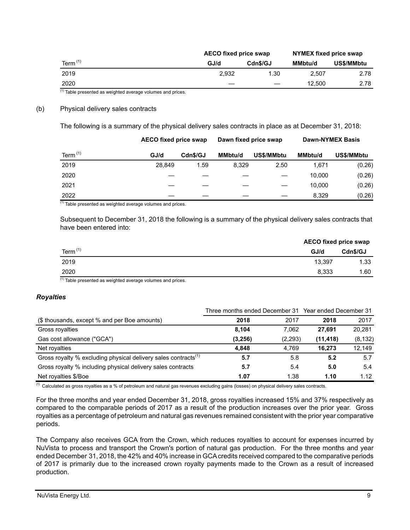|            | <b>AECO fixed price swap</b> |          | NYMEX fixed price swap |            |
|------------|------------------------------|----------|------------------------|------------|
| Term $(1)$ | GJ/d                         | Cdn\$/GJ | <b>MMbtu/d</b>         | US\$/MMbtu |
| 2019       | 2.932                        | 1.30     | 2.507                  | 2.78       |
| 2020       |                              |          | 12.500                 | 2.78       |
| (4)        |                              |          |                        |            |

 $<sup>(1)</sup>$  Table presented as weighted average volumes and prices.</sup>

#### (b) Physical delivery sales contracts

The following is a summary of the physical delivery sales contracts in place as at December 31, 2018:

|            | <b>AECO fixed price swap</b> |          | Dawn fixed price swap |            |                | <b>Dawn-NYMEX Basis</b> |
|------------|------------------------------|----------|-----------------------|------------|----------------|-------------------------|
| Term $(1)$ | GJ/d                         | Cdn\$/GJ | <b>MMbtu/d</b>        | US\$/MMbtu | <b>MMbtu/d</b> | US\$/MMbtu              |
| 2019       | 28.849                       | 1.59     | 8.329                 | 2.50       | 1.671          | (0.26)                  |
| 2020       |                              |          |                       |            | 10.000         | (0.26)                  |
| 2021       |                              |          |                       |            | 10.000         | (0.26)                  |
| 2022       |                              |          |                       |            | 8.329          | (0.26)                  |

 $(1)$  Table presented as weighted average volumes and prices.

Subsequent to December 31, 2018 the following is a summary of the physical delivery sales contracts that have been entered into:

|            |        | <b>AECO fixed price swap</b> |
|------------|--------|------------------------------|
| Term $(1)$ | GJ/d   | Cdn\$/GJ                     |
| 2019       | 13.397 | 1.33                         |
| 2020       | 8,333  | 1.60                         |

 $(1)$  Table presented as weighted average volumes and prices.

## *Royalties*

| Three months ended December 31 Year ended December 31                      |         |         |           |          |  |
|----------------------------------------------------------------------------|---------|---------|-----------|----------|--|
| (\$ thousands, except % and per Boe amounts)                               | 2018    | 2017    | 2018      | 2017     |  |
| Gross royalties                                                            | 8.104   | 7.062   | 27.691    | 20.281   |  |
| Gas cost allowance ("GCA")                                                 | (3,256) | (2,293) | (11, 418) | (8, 132) |  |
| Net royalties                                                              | 4.848   | 4.769   | 16.273    | 12,149   |  |
| Gross royalty % excluding physical delivery sales contracts <sup>(1)</sup> | 5.7     | 5.8     | 5.2       | 5.7      |  |
| Gross royalty % including physical delivery sales contracts                | 5.7     | 5.4     | 5.0       | 5.4      |  |
| Net royalties \$/Boe                                                       | 1.07    | 1.38    | 1.10      | 1.12     |  |

<sup>(1)</sup> Calculated as gross royalties as a % of petroleum and natural gas revenues excluding gains (losses) on physical delivery sales contracts.

For the three months and year ended December 31, 2018, gross royalties increased 15% and 37% respectively as compared to the comparable periods of 2017 as a result of the production increases over the prior year. Gross royalties as a percentage of petroleum and natural gas revenues remained consistent with the prior year comparative periods.

The Company also receives GCA from the Crown, which reduces royalties to account for expenses incurred by NuVista to process and transport the Crown's portion of natural gas production. For the three months and year ended December 31, 2018, the 42% and 40% increase in GCA credits received compared to the comparative periods of 2017 is primarily due to the increased crown royalty payments made to the Crown as a result of increased production.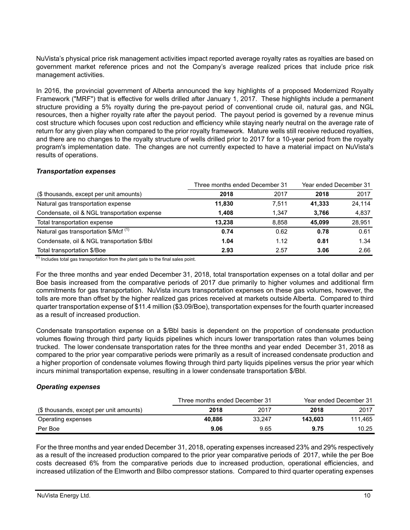NuVista's physical price risk management activities impact reported average royalty rates as royalties are based on government market reference prices and not the Company's average realized prices that include price risk management activities.

In 2016, the provincial government of Alberta announced the key highlights of a proposed Modernized Royalty Framework ("MRF") that is effective for wells drilled after January 1, 2017. These highlights include a permanent structure providing a 5% royalty during the pre-payout period of conventional crude oil, natural gas, and NGL resources, then a higher royalty rate after the payout period. The payout period is governed by a revenue minus cost structure which focuses upon cost reduction and efficiency while staying nearly neutral on the average rate of return for any given play when compared to the prior royalty framework. Mature wells still receive reduced royalties, and there are no changes to the royalty structure of wells drilled prior to 2017 for a 10-year period from the royalty program's implementation date. The changes are not currently expected to have a material impact on NuVista's results of operations.

## *Transportation expenses*

|                                                  | Three months ended December 31 | Year ended December 31 |        |        |
|--------------------------------------------------|--------------------------------|------------------------|--------|--------|
| (\$ thousands, except per unit amounts)          | 2018                           | 2017                   | 2018   | 2017   |
| Natural gas transportation expense               | 11,830                         | 7.511                  | 41.333 | 24,114 |
| Condensate, oil & NGL transportation expense     | 1.408                          | 1.347                  | 3.766  | 4,837  |
| Total transportation expense                     | 13.238                         | 8.858                  | 45.099 | 28,951 |
| Natural gas transportation \$/Mcf <sup>(1)</sup> | 0.74                           | 0.62                   | 0.78   | 0.61   |
| Condensate, oil & NGL transportation \$/Bbl      | 1.04                           | 1.12                   | 0.81   | 1.34   |
| Total transportation \$/Boe                      | 2.93                           | 2.57                   | 3.06   | 2.66   |

 $(1)$  Includes total gas transportation from the plant gate to the final sales point.

For the three months and year ended December 31, 2018, total transportation expenses on a total dollar and per Boe basis increased from the comparative periods of 2017 due primarily to higher volumes and additional firm commitments for gas transportation. NuVista incurs transportation expenses on these gas volumes, however, the tolls are more than offset by the higher realized gas prices received at markets outside Alberta. Compared to third quarter transportation expense of \$11.4 million (\$3.09/Boe), transportation expenses for the fourth quarter increased as a result of increased production.

Condensate transportation expense on a \$/Bbl basis is dependent on the proportion of condensate production volumes flowing through third party liquids pipelines which incurs lower transportation rates than volumes being trucked. The lower condensate transportation rates for the three months and year ended December 31, 2018 as compared to the prior year comparative periods were primarily as a result of increased condensate production and a higher proportion of condensate volumes flowing through third party liquids pipelines versus the prior year which incurs minimal transportation expense, resulting in a lower condensate transportation \$/Bbl.

# *Operating expenses*

|                                         | Three months ended December 31 |        | Year ended December 31 |         |  |
|-----------------------------------------|--------------------------------|--------|------------------------|---------|--|
| (\$ thousands, except per unit amounts) | 2018                           | 2017   | 2018                   | 2017    |  |
| Operating expenses                      | 40.886                         | 33.247 | 143.603                | 111.465 |  |
| Per Boe                                 | 9.06                           | 9.65   | 9.75                   | 10.25   |  |

For the three months and year ended December 31, 2018, operating expenses increased 23% and 29% respectively as a result of the increased production compared to the prior year comparative periods of 2017, while the per Boe costs decreased 6% from the comparative periods due to increased production, operational efficiencies, and increased utilization of the Elmworth and Bilbo compressor stations. Compared to third quarter operating expenses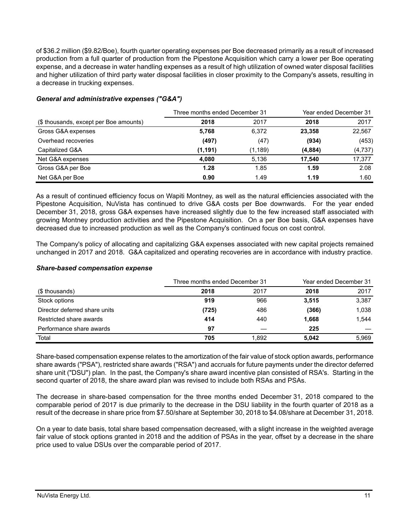of \$36.2 million (\$9.82/Boe), fourth quarter operating expenses per Boe decreased primarily as a result of increased production from a full quarter of production from the Pipestone Acquisition which carry a lower per Boe operating expense, and a decrease in water handling expenses as a result of high utilization of owned water disposal facilities and higher utilization of third party water disposal facilities in closer proximity to the Company's assets, resulting in a decrease in trucking expenses.

|                                        | Three months ended December 31 | Year ended December 31 |         |          |
|----------------------------------------|--------------------------------|------------------------|---------|----------|
| (\$ thousands, except per Boe amounts) | 2018                           | 2017                   | 2018    | 2017     |
| Gross G&A expenses                     | 5,768                          | 6,372                  | 23,358  | 22,567   |
| Overhead recoveries                    | (497)                          | (47)                   | (934)   | (453)    |
| Capitalized G&A                        | (1,191)                        | (1,189)                | (4,884) | (4, 737) |
| Net G&A expenses                       | 4,080                          | 5.136                  | 17.540  | 17,377   |
| Gross G&A per Boe                      | 1.28                           | 1.85                   | 1.59    | 2.08     |
| Net G&A per Boe                        | 0.90                           | 1.49                   | 1.19    | 1.60     |

# *General and administrative expenses ("G&A")*

As a result of continued efficiency focus on Wapiti Montney, as well as the natural efficiencies associated with the Pipestone Acquisition, NuVista has continued to drive G&A costs per Boe downwards. For the year ended December 31, 2018, gross G&A expenses have increased slightly due to the few increased staff associated with growing Montney production activities and the Pipestone Acquisition. On a per Boe basis, G&A expenses have decreased due to increased production as well as the Company's continued focus on cost control.

The Company's policy of allocating and capitalizing G&A expenses associated with new capital projects remained unchanged in 2017 and 2018. G&A capitalized and operating recoveries are in accordance with industry practice.

|                               |       | Three months ended December 31 |       | Year ended December 31 |  |
|-------------------------------|-------|--------------------------------|-------|------------------------|--|
| (\$ thousands)                | 2018  | 2017                           | 2018  | 2017                   |  |
| Stock options                 | 919   | 966                            | 3,515 | 3,387                  |  |
| Director deferred share units | (725) | 486                            | (366) | 1,038                  |  |
| Restricted share awards       | 414   | 440                            | 1,668 | 1.544                  |  |
| Performance share awards      | 97    |                                | 225   |                        |  |
| Total                         | 705   | 1.892                          | 5.042 | 5.969                  |  |

## *Share-based compensation expense*

Share-based compensation expense relates to the amortization of the fair value of stock option awards, performance share awards ("PSA"), restricted share awards ("RSA") and accruals for future payments under the director deferred share unit ("DSU") plan. In the past, the Company's share award incentive plan consisted of RSA's. Starting in the second quarter of 2018, the share award plan was revised to include both RSAs and PSAs.

The decrease in share-based compensation for the three months ended December 31, 2018 compared to the comparable period of 2017 is due primarily to the decrease in the DSU liability in the fourth quarter of 2018 as a result of the decrease in share price from \$7.50/share at September 30, 2018 to \$4.08/share at December 31, 2018.

On a year to date basis, total share based compensation decreased, with a slight increase in the weighted average fair value of stock options granted in 2018 and the addition of PSAs in the year, offset by a decrease in the share price used to value DSUs over the comparable period of 2017.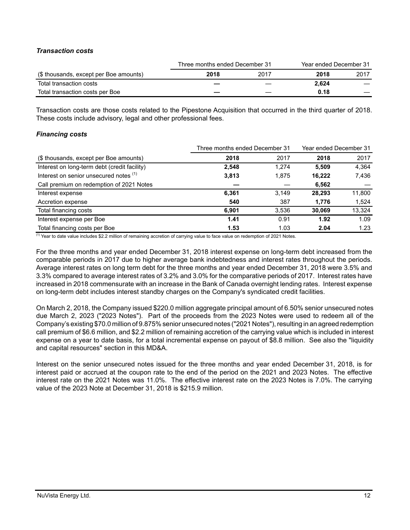# *Transaction costs*

|                                        | Three months ended December 31 |      |       | Year ended December 31 |
|----------------------------------------|--------------------------------|------|-------|------------------------|
| (\$ thousands, except per Boe amounts) | 2018                           | 2017 | 2018  | 2017                   |
| Total transaction costs                |                                |      | 2.624 |                        |
| Total transaction costs per Boe        |                                |      | 0.18  |                        |

Transaction costs are those costs related to the Pipestone Acquisition that occurred in the third quarter of 2018. These costs include advisory, legal and other professional fees.

## *Financing costs*

|                                              | Three months ended December 31 |       |        | Year ended December 31 |
|----------------------------------------------|--------------------------------|-------|--------|------------------------|
| (\$ thousands, except per Boe amounts)       | 2018                           | 2017  | 2018   | 2017                   |
| Interest on long-term debt (credit facility) | 2,548                          | 1.274 | 5.509  | 4,364                  |
| Interest on senior unsecured notes (1)       | 3,813                          | 1,875 | 16,222 | 7,436                  |
| Call premium on redemption of 2021 Notes     |                                |       | 6,562  |                        |
| Interest expense                             | 6,361                          | 3.149 | 28.293 | 11,800                 |
| Accretion expense                            | 540                            | 387   | 1,776  | 1,524                  |
| Total financing costs                        | 6.901                          | 3.536 | 30.069 | 13,324                 |
| Interest expense per Boe                     | 1.41                           | 0.91  | 1.92   | 1.09                   |
| Total financing costs per Boe                | 1.53                           | 1.03  | 2.04   | 1.23                   |

(1) Year to date value includes \$2.2 million of remaining accretion of carrying value to face value on redemption of 2021 Notes.

For the three months and year ended December 31, 2018 interest expense on long-term debt increased from the comparable periods in 2017 due to higher average bank indebtedness and interest rates throughout the periods. Average interest rates on long term debt for the three months and year ended December 31, 2018 were 3.5% and 3.3% compared to average interest rates of 3.2% and 3.0% for the comparative periods of 2017. Interest rates have increased in 2018 commensurate with an increase in the Bank of Canada overnight lending rates. Interest expense on long-term debt includes interest standby charges on the Company's syndicated credit facilities.

On March 2, 2018, the Company issued \$220.0 million aggregate principal amount of 6.50% senior unsecured notes due March 2, 2023 ("2023 Notes"). Part of the proceeds from the 2023 Notes were used to redeem all of the Company's existing \$70.0 million of 9.875% senior unsecured notes ("2021 Notes"), resulting in an agreed redemption call premium of \$6.6 million, and \$2.2 million of remaining accretion of the carrying value which is included in interest expense on a year to date basis, for a total incremental expense on payout of \$8.8 million. See also the "liquidity and capital resources" section in this MD&A.

Interest on the senior unsecured notes issued for the three months and year ended December 31, 2018, is for interest paid or accrued at the coupon rate to the end of the period on the 2021 and 2023 Notes. The effective interest rate on the 2021 Notes was 11.0%. The effective interest rate on the 2023 Notes is 7.0%. The carrying value of the 2023 Note at December 31, 2018 is \$215.9 million.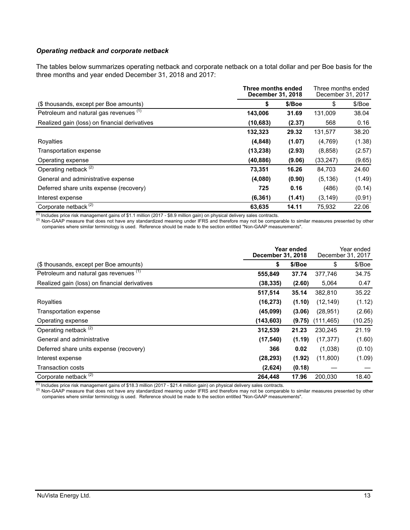#### *Operating netback and corporate netback*

The tables below summarizes operating netback and corporate netback on a total dollar and per Boe basis for the three months and year ended December 31, 2018 and 2017:

|                                               | Three months ended<br>December 31, 2018 |        | Three months ended<br>December 31, 2017 |        |
|-----------------------------------------------|-----------------------------------------|--------|-----------------------------------------|--------|
| (\$ thousands, except per Boe amounts)        | \$                                      | \$/Boe | \$                                      | \$/Boe |
| Petroleum and natural gas revenues (1)        | 143,006                                 | 31.69  | 131.009                                 | 38.04  |
| Realized gain (loss) on financial derivatives | (10, 683)                               | (2.37) | 568                                     | 0.16   |
|                                               | 132,323                                 | 29.32  | 131,577                                 | 38.20  |
| Royalties                                     | (4,848)                                 | (1.07) | (4,769)                                 | (1.38) |
| Transportation expense                        | (13, 238)                               | (2.93) | (8,858)                                 | (2.57) |
| Operating expense                             | (40, 886)                               | (9.06) | (33, 247)                               | (9.65) |
| Operating netback <sup>(2)</sup>              | 73,351                                  | 16.26  | 84,703                                  | 24.60  |
| General and administrative expense            | (4,080)                                 | (0.90) | (5, 136)                                | (1.49) |
| Deferred share units expense (recovery)       | 725                                     | 0.16   | (486)                                   | (0.14) |
| Interest expense                              | (6, 361)                                | (1.41) | (3, 149)                                | (0.91) |
| Corporate netback <sup>(2)</sup>              | 63,635                                  | 14.11  | 75.932                                  | 22.06  |

 $^{(1)}$  Includes price risk management gains of \$1.1 million (2017 - \$8.9 million gain) on physical delivery sales contracts.

(2) Non-GAAP measure that does not have any standardized meaning under IFRS and therefore may not be comparable to similar measures presented by other companies where similar terminology is used. Reference should be made to the section entitled "Non-GAAP measurements".

|                                               |            | Year ended<br><b>December 31, 2018</b> |           |         |
|-----------------------------------------------|------------|----------------------------------------|-----------|---------|
| (\$ thousands, except per Boe amounts)        | \$         | \$/Boe                                 | \$        | \$/Boe  |
| Petroleum and natural gas revenues (1)        | 555,849    | 37.74                                  | 377,746   | 34.75   |
| Realized gain (loss) on financial derivatives | (38, 335)  | (2.60)                                 | 5,064     | 0.47    |
|                                               | 517,514    | 35.14                                  | 382,810   | 35.22   |
| Royalties                                     | (16, 273)  | (1.10)                                 | (12, 149) | (1.12)  |
| Transportation expense                        | (45,099)   | (3.06)                                 | (28, 951) | (2.66)  |
| Operating expense                             | (143, 603) | (9.75)                                 | (111,465) | (10.25) |
| Operating netback <sup>(2)</sup>              | 312,539    | 21.23                                  | 230,245   | 21.19   |
| General and administrative                    | (17, 540)  | (1.19)                                 | (17, 377) | (1.60)  |
| Deferred share units expense (recovery)       | 366        | 0.02                                   | (1,038)   | (0.10)  |
| Interest expense                              | (28, 293)  | (1.92)                                 | (11,800)  | (1.09)  |
| Transaction costs                             | (2,624)    | (0.18)                                 |           |         |
| Corporate netback <sup>(2)</sup>              | 264,448    | 17.96                                  | 200,030   | 18.40   |

 $^{(1)}$  Includes price risk management gains of \$18.3 million (2017 - \$21.4 million gain) on physical delivery sales contracts.

 $^{(2)}$  Non-GAAP measure that does not have any standardized meaning under IFRS and therefore may not be comparable to similar measures presented by other companies where similar terminology is used. Reference should be made to the section entitled "Non-GAAP measurements".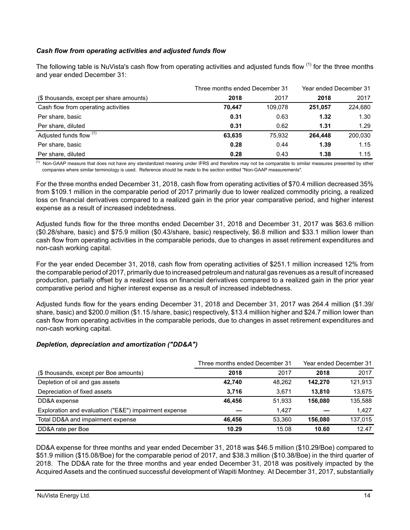# *Cash flow from operating activities and adjusted funds flow*

The following table is NuVista's cash flow from operating activities and adjusted funds flow <sup>(1)</sup> for the three months and year ended December 31:

| Three months ended December 31           |        |         | Year ended December 31 |         |  |
|------------------------------------------|--------|---------|------------------------|---------|--|
| (\$ thousands, except per share amounts) | 2018   | 2017    | 2018                   | 2017    |  |
| Cash flow from operating activities      | 70.447 | 109.078 | 251.057                | 224.680 |  |
| Per share, basic                         | 0.31   | 0.63    | 1.32                   | 1.30    |  |
| Per share, diluted                       | 0.31   | 0.62    | 1.31                   | 1.29    |  |
| Adjusted funds flow (1)                  | 63,635 | 75.932  | 264.448                | 200.030 |  |
| Per share, basic                         | 0.28   | 0.44    | 1.39                   | 1.15    |  |
| Per share, diluted                       | 0.28   | 0.43    | 1.38                   | 1.15    |  |

<sup>(1)</sup> Non-GAAP measure that does not have any standardized meaning under IFRS and therefore may not be comparable to similar measures presented by other companies where similar terminology is used. Reference should be made to the section entitled "Non-GAAP measurements".

For the three months ended December 31, 2018, cash flow from operating activities of \$70.4 million decreased 35% from \$109.1 million in the comparable period of 2017 primarily due to lower realized commodity pricing, a realized loss on financial derivatives compared to a realized gain in the prior year comparative period, and higher interest expense as a result of increased indebtedness.

Adjusted funds flow for the three months ended December 31, 2018 and December 31, 2017 was \$63.6 million (\$0.28/share, basic) and \$75.9 million (\$0.43/share, basic) respectively, \$6.8 million and \$33.1 million lower than cash flow from operating activities in the comparable periods, due to changes in asset retirement expenditures and non-cash working capital.

For the year ended December 31, 2018, cash flow from operating activities of \$251.1 million increased 12% from the comparable period of 2017, primarily due to increased petroleum and natural gas revenues as a result of increased production, partially offset by a realized loss on financial derivatives compared to a realized gain in the prior year comparative period and higher interest expense as a result of increased indebtedness.

Adjusted funds flow for the years ending December 31, 2018 and December 31, 2017 was 264.4 million (\$1.39/ share, basic) and \$200.0 million (\$1.15 /share, basic) respectively, \$13.4 milliion higher and \$24.7 million lower than cash flow from operating activities in the comparable periods, due to changes in asset retirement expenditures and non-cash working capital.

## *Depletion, depreciation and amortization ("DD&A")*

|                                                       | Three months ended December 31 |        | Year ended December 31 |         |  |
|-------------------------------------------------------|--------------------------------|--------|------------------------|---------|--|
| (\$ thousands, except per Boe amounts)                | 2018                           | 2017   | 2018                   | 2017    |  |
| Depletion of oil and gas assets                       | 42.740                         | 48.262 | 142.270                | 121,913 |  |
| Depreciation of fixed assets                          | 3.716                          | 3.671  | 13,810                 | 13,675  |  |
| DD&A expense                                          | 46.456                         | 51.933 | 156.080                | 135,588 |  |
| Exploration and evaluation ("E&E") impairment expense |                                | 1.427  |                        | 1.427   |  |
| Total DD&A and impairment expense                     | 46.456                         | 53.360 | 156.080                | 137,015 |  |
| DD&A rate per Boe                                     | 10.29                          | 15.08  | 10.60                  | 12.47   |  |

DD&A expense for three months and year ended December 31, 2018 was \$46.5 million (\$10.29/Boe) compared to \$51.9 million (\$15.08/Boe) for the comparable period of 2017, and \$38.3 million (\$10.38/Boe) in the third quarter of 2018. The DD&A rate for the three months and year ended December 31, 2018 was positively impacted by the Acquired Assets and the continued successful development of Wapiti Montney. At December 31, 2017, substantially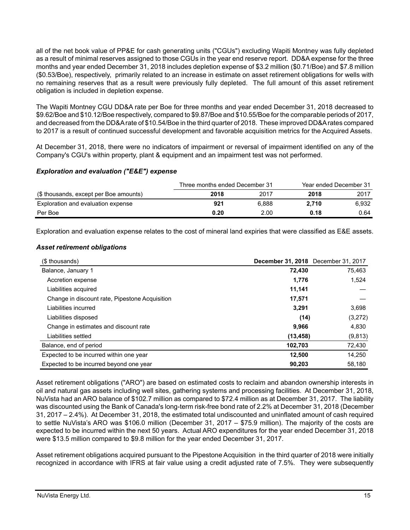all of the net book value of PP&E for cash generating units ("CGUs") excluding Wapiti Montney was fully depleted as a result of minimal reserves assigned to those CGUs in the year end reserve report. DD&A expense for the three months and year ended December 31, 2018 includes depletion expense of \$3.2 million (\$0.71/Boe) and \$7.8 million (\$0.53/Boe), respectively, primarily related to an increase in estimate on asset retirement obligations for wells with no remaining reserves that as a result were previously fully depleted. The full amount of this asset retirement obligation is included in depletion expense.

The Wapiti Montney CGU DD&A rate per Boe for three months and year ended December 31, 2018 decreased to \$9.62/Boe and \$10.12/Boe respectively, compared to \$9.87/Boe and \$10.55/Boe for the comparable periods of 2017, and decreased from the DD&A rate of \$10.54/Boe in the third quarter of 2018. These improved DD&A rates compared to 2017 is a result of continued successful development and favorable acquisition metrics for the Acquired Assets.

At December 31, 2018, there were no indicators of impairment or reversal of impairment identified on any of the Company's CGU's within property, plant & equipment and an impairment test was not performed.

# *Exploration and evaluation ("E&E") expense*

|                                        | Three months ended December 31 |       | Year ended December 31 |       |
|----------------------------------------|--------------------------------|-------|------------------------|-------|
| (\$ thousands, except per Boe amounts) | 2018                           | 2017  | 2018                   | 2017  |
| Exploration and evaluation expense     | 921                            | 6.888 | 2.710                  | 6.932 |
| Per Boe                                | 0.20                           | 2.00  | 0.18                   | 0.64  |

Exploration and evaluation expense relates to the cost of mineral land expiries that were classified as E&E assets.

## *Asset retirement obligations*

| (\$ thousands)                                 | <b>December 31, 2018</b> December 31, 2017 |          |
|------------------------------------------------|--------------------------------------------|----------|
| Balance, January 1                             | 72,430                                     | 75,463   |
| Accretion expense                              | 1,776                                      | 1,524    |
| Liabilities acquired                           | 11,141                                     |          |
| Change in discount rate, Pipestone Acquisition | 17,571                                     |          |
| Liabilities incurred                           | 3.291                                      | 3,698    |
| Liabilities disposed                           | (14)                                       | (3,272)  |
| Change in estimates and discount rate          | 9,966                                      | 4,830    |
| Liabilities settled                            | (13, 458)                                  | (9, 813) |
| Balance, end of period                         | 102,703                                    | 72,430   |
| Expected to be incurred within one year        | 12,500                                     | 14,250   |
| Expected to be incurred beyond one year        | 90,203                                     | 58,180   |

Asset retirement obligations ("ARO") are based on estimated costs to reclaim and abandon ownership interests in oil and natural gas assets including well sites, gathering systems and processing facilities. At December 31, 2018, NuVista had an ARO balance of \$102.7 million as compared to \$72.4 million as at December 31, 2017. The liability was discounted using the Bank of Canada's long-term risk-free bond rate of 2.2% at December 31, 2018 (December 31, 2017 – 2.4%). At December 31, 2018, the estimated total undiscounted and uninflated amount of cash required to settle NuVista's ARO was \$106.0 million (December 31, 2017 – \$75.9 million). The majority of the costs are expected to be incurred within the next 50 years. Actual ARO expenditures for the year ended December 31, 2018 were \$13.5 million compared to \$9.8 million for the year ended December 31, 2017.

Asset retirement obligations acquired pursuant to the Pipestone Acquisition in the third quarter of 2018 were initially recognized in accordance with IFRS at fair value using a credit adjusted rate of 7.5%*.* They were subsequently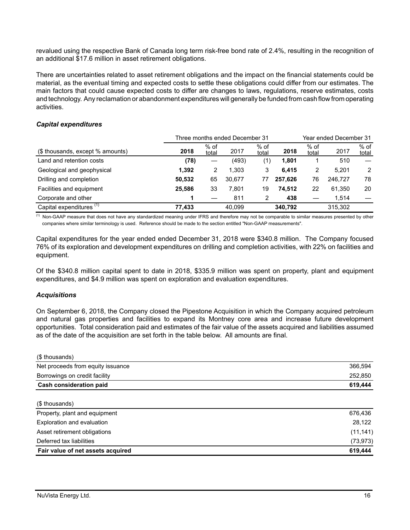revalued using the respective Bank of Canada long term risk-free bond rate of 2.4%, resulting in the recognition of an additional \$17.6 million in asset retirement obligations.

There are uncertainties related to asset retirement obligations and the impact on the financial statements could be material, as the eventual timing and expected costs to settle these obligations could differ from our estimates. The main factors that could cause expected costs to differ are changes to laws, regulations, reserve estimates, costs and technology. Any reclamation or abandonment expenditures will generally be funded from cash flow from operating activities.

## *Capital expenditures*

|                                     | Three months ended December 31 |               |        | Year ended December 31 |         |               |         |                 |
|-------------------------------------|--------------------------------|---------------|--------|------------------------|---------|---------------|---------|-----------------|
| (\$ thousands, except % amounts)    | 2018                           | % of<br>total | 2017   | $%$ of<br>total        | 2018    | % of<br>total | 2017    | $%$ of<br>total |
| Land and retention costs            | (78)                           |               | (493)  | ั1)                    | 1.801   |               | 510     |                 |
| Geological and geophysical          | 1.392                          | 2             | 1.303  | 3                      | 6.415   | 2             | 5.201   | 2               |
| Drilling and completion             | 50,532                         | 65            | 30.677 | 77                     | 257.626 | 76            | 246.727 | 78              |
| Facilities and equipment            | 25.586                         | 33            | 7,801  | 19                     | 74.512  | 22            | 61.350  | 20              |
| Corporate and other                 |                                |               | 811    | 2                      | 438     |               | 1.514   |                 |
| Capital expenditures <sup>(1)</sup> | 77.433                         |               | 40.099 |                        | 340.792 |               | 315,302 |                 |

 $\frac{1}{1}$  Non-GAAP measure that does not have any standardized meaning under IFRS and therefore may not be comparable to similar measures presented by other companies where similar terminology is used. Reference should be made to the section entitled "Non-GAAP measurements".

Capital expenditures for the year ended ended December 31, 2018 were \$340.8 million. The Company focused 76% of its exploration and development expenditures on drilling and completion activities, with 22% on facilities and equipment.

Of the \$340.8 million capital spent to date in 2018, \$335.9 million was spent on property, plant and equipment expenditures, and \$4.9 million was spent on exploration and evaluation expenditures.

## *Acquisitions*

On September 6, 2018, the Company closed the Pipestone Acquisition in which the Company acquired petroleum and natural gas properties and facilities to expand its Montney core area and increase future development opportunities. Total consideration paid and estimates of the fair value of the assets acquired and liabilities assumed as of the date of the acquisition are set forth in the table below. All amounts are final.

| (\$ thousands)                    |           |
|-----------------------------------|-----------|
| Net proceeds from equity issuance | 366,594   |
| Borrowings on credit facility     | 252,850   |
| <b>Cash consideration paid</b>    | 619,444   |
| (\$ thousands)                    |           |
| Property, plant and equipment     | 676,436   |
| Exploration and evaluation        | 28,122    |
| Asset retirement obligations      | (11, 141) |
| Deferred tax liabilities          | (73, 973) |
| Fair value of net assets acquired | 619,444   |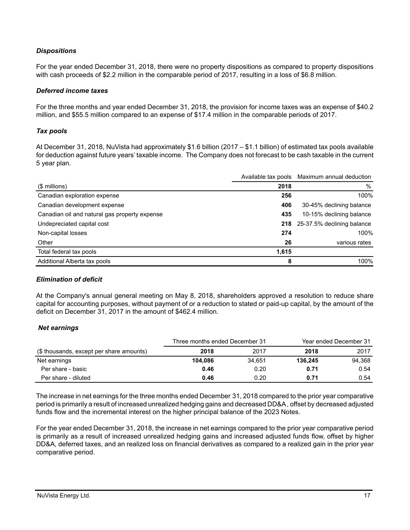# *Dispositions*

For the year ended December 31, 2018, there were no property dispositions as compared to property dispositions with cash proceeds of \$2.2 million in the comparable period of 2017, resulting in a loss of \$6.8 million.

#### *Deferred income taxes*

For the three months and year ended December 31, 2018, the provision for income taxes was an expense of \$40.2 million, and \$55.5 million compared to an expense of \$17.4 million in the comparable periods of 2017.

## *Tax pools*

At December 31, 2018, NuVista had approximately \$1.6 billion (2017 – \$1.1 billion) of estimated tax pools available for deduction against future years' taxable income. The Company does not forecast to be cash taxable in the current 5 year plan.

|                                               |       | Available tax pools Maximum annual deduction |
|-----------------------------------------------|-------|----------------------------------------------|
| $$$ millions)                                 | 2018  | $\frac{0}{0}$                                |
| Canadian exploration expense                  | 256   | 100%                                         |
| Canadian development expense                  | 406   | 30-45% declining balance                     |
| Canadian oil and natural gas property expense | 435   | 10-15% declining balance                     |
| Undepreciated capital cost                    |       | 218 25-37.5% declining balance               |
| Non-capital losses                            | 274   | 100%                                         |
| Other                                         | 26    | various rates                                |
| Total federal tax pools                       | 1,615 |                                              |
| Additional Alberta tax pools                  | 8     | 100%                                         |

## *Elimination of deficit*

At the Company's annual general meeting on May 8, 2018, shareholders approved a resolution to reduce share capital for accounting purposes, without payment of or a reduction to stated or paid-up capital, by the amount of the deficit on December 31, 2017 in the amount of \$462.4 million.

## *Net earnings*

|                                          | Three months ended December 31 |        |         | Year ended December 31 |
|------------------------------------------|--------------------------------|--------|---------|------------------------|
| (\$ thousands, except per share amounts) | 2018                           | 2017   | 2018    | 2017                   |
| Net earnings                             | 104.086                        | 34.651 | 136.245 | 94.368                 |
| Per share - basic                        | 0.46                           | 0.20   | 0.71    | 0.54                   |
| Per share - diluted                      | 0.46                           | 0.20   | 0.71    | 0.54                   |

The increase in net earnings for the three months ended December 31, 2018 compared to the prior year comparative period is primarily a result of increased unrealized hedging gains and decreased DD&A , offset by decreased adjusted funds flow and the incremental interest on the higher principal balance of the 2023 Notes.

For the year ended December 31, 2018, the increase in net earnings compared to the prior year comparative period is primarily as a result of increased unrealized hedging gains and increased adjusted funds flow, offset by higher DD&A, deferred taxes, and an realized loss on financial derivatives as compared to a realized gain in the prior year comparative period.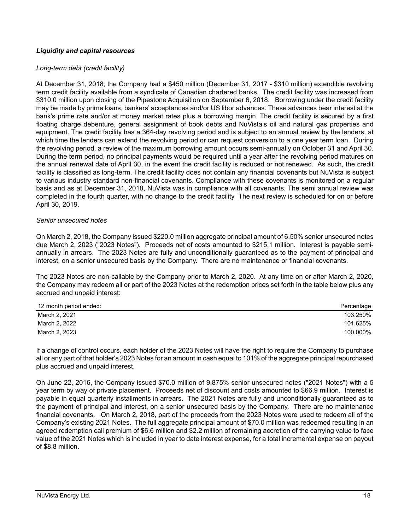# *Liquidity and capital resources*

#### *Long-term debt (credit facility)*

At December 31, 2018, the Company had a \$450 million (December 31, 2017 - \$310 million) extendible revolving term credit facility available from a syndicate of Canadian chartered banks. The credit facility was increased from \$310.0 million upon closing of the Pipestone Acquisition on September 6, 2018. Borrowing under the credit facility may be made by prime loans, bankers' acceptances and/or US libor advances. These advances bear interest at the bank's prime rate and/or at money market rates plus a borrowing margin. The credit facility is secured by a first floating charge debenture, general assignment of book debts and NuVista's oil and natural gas properties and equipment. The credit facility has a 364-day revolving period and is subject to an annual review by the lenders, at which time the lenders can extend the revolving period or can request conversion to a one year term loan. During the revolving period, a review of the maximum borrowing amount occurs semi-annually on October 31 and April 30. During the term period, no principal payments would be required until a year after the revolving period matures on the annual renewal date of April 30, in the event the credit facility is reduced or not renewed. As such, the credit facility is classified as long-term. The credit facility does not contain any financial covenants but NuVista is subject to various industry standard non-financial covenants. Compliance with these covenants is monitored on a regular basis and as at December 31, 2018, NuVista was in compliance with all covenants. The semi annual review was completed in the fourth quarter, with no change to the credit facility The next review is scheduled for on or before April 30, 2019.

#### *Senior unsecured notes*

On March 2, 2018, the Company issued \$220.0 million aggregate principal amount of 6.50% senior unsecured notes due March 2, 2023 ("2023 Notes"). Proceeds net of costs amounted to \$215.1 million. Interest is payable semiannually in arrears. The 2023 Notes are fully and unconditionally guaranteed as to the payment of principal and interest, on a senior unsecured basis by the Company. There are no maintenance or financial covenants.

The 2023 Notes are non-callable by the Company prior to March 2, 2020. At any time on or after March 2, 2020, the Company may redeem all or part of the 2023 Notes at the redemption prices set forth in the table below plus any accrued and unpaid interest:

| 12 month period ended: | Percentage |
|------------------------|------------|
| March 2, 2021          | 103.250%   |
| March 2, 2022          | 101.625%   |
| March 2, 2023          | 100.000%   |

If a change of control occurs, each holder of the 2023 Notes will have the right to require the Company to purchase all or any part of that holder's 2023 Notes for an amount in cash equal to 101% of the aggregate principal repurchased plus accrued and unpaid interest.

On June 22, 2016, the Company issued \$70.0 million of 9.875% senior unsecured notes ("2021 Notes") with a 5 year term by way of private placement. Proceeds net of discount and costs amounted to \$66.9 million. Interest is payable in equal quarterly installments in arrears. The 2021 Notes are fully and unconditionally guaranteed as to the payment of principal and interest, on a senior unsecured basis by the Company. There are no maintenance financial covenants. On March 2, 2018, part of the proceeds from the 2023 Notes were used to redeem all of the Company's existing 2021 Notes. The full aggregate principal amount of \$70.0 million was redeemed resulting in an agreed redemption call premium of \$6.6 million and \$2.2 million of remaining accretion of the carrying value to face value of the 2021 Notes which is included in year to date interest expense, for a total incremental expense on payout of \$8.8 million.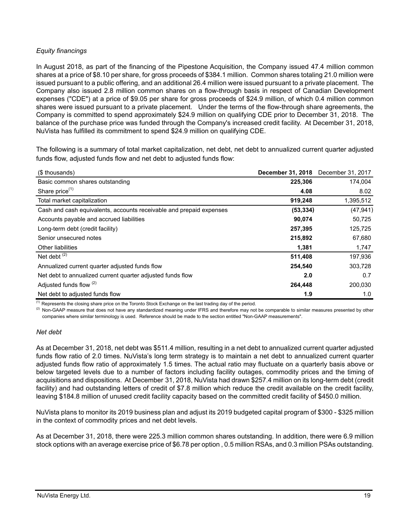# *Equity financings*

In August 2018, as part of the financing of the Pipestone Acquisition, the Company issued 47.4 million common shares at a price of \$8.10 per share, for gross proceeds of \$384.1 million. Common shares totaling 21.0 million were issued pursuant to a public offering, and an additional 26.4 million were issued pursuant to a private placement. The Company also issued 2.8 million common shares on a flow-through basis in respect of Canadian Development expenses ("CDE") at a price of \$9.05 per share for gross proceeds of \$24.9 million, of which 0.4 million common shares were issued pursuant to a private placement. Under the terms of the flow-through share agreements, the Company is committed to spend approximately \$24.9 million on qualifying CDE prior to December 31, 2018. The balance of the purchase price was funded through the Company's increased credit facility. At December 31, 2018, NuVista has fulfilled its commitment to spend \$24.9 million on qualifying CDE.

The following is a summary of total market capitalization, net debt, net debt to annualized current quarter adjusted funds flow, adjusted funds flow and net debt to adjusted funds flow:

| (\$ thousands)                                                      | <b>December 31, 2018</b> | December 31, 2017 |
|---------------------------------------------------------------------|--------------------------|-------------------|
| Basic common shares outstanding                                     | 225,306                  | 174,004           |
| Share price $(1)$                                                   | 4.08                     | 8.02              |
| Total market capitalization                                         | 919,248                  | 1,395,512         |
| Cash and cash equivalents, accounts receivable and prepaid expenses | (53, 334)                | (47, 941)         |
| Accounts payable and accrued liabilities                            | 90,074                   | 50,725            |
| Long-term debt (credit facility)                                    | 257,395                  | 125,725           |
| Senior unsecured notes                                              | 215,892                  | 67,680            |
| Other liabilities                                                   | 1,381                    | 1,747             |
| Net debt $(2)$                                                      | 511,408                  | 197,936           |
| Annualized current quarter adjusted funds flow                      | 254,540                  | 303,728           |
| Net debt to annualized current quarter adjusted funds flow          | 2.0                      | 0.7               |
| Adjusted funds flow (2)                                             | 264,448                  | 200,030           |
| Net debt to adjusted funds flow                                     | 1.9                      | 1.0               |

 $<sup>(1)</sup>$  Represents the closing share price on the Toronto Stock Exchange on the last trading day of the period.</sup>

<sup>(2)</sup> Non-GAAP measure that does not have any standardized meaning under IFRS and therefore may not be comparable to similar measures presented by other companies where similar terminology is used. Reference should be made to the section entitled "Non-GAAP measurements".

## *Net debt*

As at December 31, 2018, net debt was \$511.4 million, resulting in a net debt to annualized current quarter adjusted funds flow ratio of 2.0 times. NuVista's long term strategy is to maintain a net debt to annualized current quarter adjusted funds flow ratio of approximately 1.5 times. The actual ratio may fluctuate on a quarterly basis above or below targeted levels due to a number of factors including facility outages, commodity prices and the timing of acquisitions and dispositions. At December 31, 2018, NuVista had drawn \$257.4 million on its long-term debt (credit facility) and had outstanding letters of credit of \$7.8 million which reduce the credit available on the credit facility, leaving \$184.8 million of unused credit facility capacity based on the committed credit facility of \$450.0 million.

NuVista plans to monitor its 2019 business plan and adjust its 2019 budgeted capital program of \$300 - \$325 million in the context of commodity prices and net debt levels.

As at December 31, 2018, there were 225.3 million common shares outstanding. In addition, there were 6.9 million stock options with an average exercise price of \$6.78 per option , 0.5 million RSAs, and 0.3 million PSAs outstanding.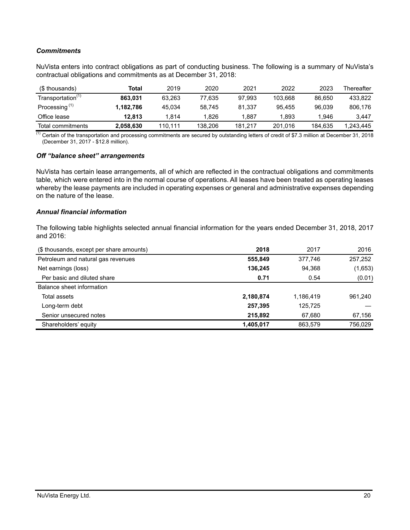# *Commitments*

NuVista enters into contract obligations as part of conducting business. The following is a summary of NuVista's contractual obligations and commitments as at December 31, 2018:

| (\$ thousands)                | Total     | 2019    | 2020    | 2021    | 2022    | 2023    | Thereafter |
|-------------------------------|-----------|---------|---------|---------|---------|---------|------------|
| Transportation <sup>(1)</sup> | 863.031   | 63.263  | 77.635  | 97.993  | 103.668 | 86.650  | 433.822    |
| Processing <sup>(1)</sup>     | 1.182.786 | 45.034  | 58.745  | 81.337  | 95.455  | 96.039  | 806.176    |
| Office lease                  | 12.813    | 1.814   | 1.826   | .887    | 1.893   | 1.946   | 3.447      |
| Total commitments             | 2.058.630 | 110.111 | 138.206 | 181.217 | 201.016 | 184.635 | 1.243.445  |

 $\overline{^{(1)}}$  Certain of the transportation and processing commitments are secured by outstanding letters of credit of \$7.3 million at December 31, 2018 (December 31, 2017 - \$12.8 million).

#### *Off "balance sheet" arrangements*

NuVista has certain lease arrangements, all of which are reflected in the contractual obligations and commitments table, which were entered into in the normal course of operations. All leases have been treated as operating leases whereby the lease payments are included in operating expenses or general and administrative expenses depending on the nature of the lease.

#### *Annual financial information*

The following table highlights selected annual financial information for the years ended December 31, 2018, 2017 and 2016:

| (\$ thousands, except per share amounts) | 2018      | 2017      | 2016    |
|------------------------------------------|-----------|-----------|---------|
| Petroleum and natural gas revenues       | 555,849   | 377,746   | 257,252 |
| Net earnings (loss)                      | 136.245   | 94,368    | (1,653) |
| Per basic and diluted share              | 0.71      | 0.54      | (0.01)  |
| Balance sheet information                |           |           |         |
| Total assets                             | 2,180,874 | 1,186,419 | 961,240 |
| Long-term debt                           | 257.395   | 125,725   |         |
| Senior unsecured notes                   | 215,892   | 67,680    | 67,156  |
| Shareholders' equity                     | 1,405,017 | 863,579   | 756,029 |
|                                          |           |           |         |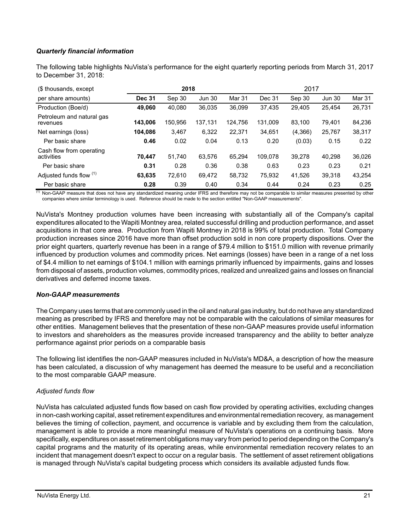# *Quarterly financial information*

The following table highlights NuVista's performance for the eight quarterly reporting periods from March 31, 2017 to December 31, 2018:

| (\$ thousands, except                  |               | 2018    |               |         | 2017    |         |               |        |
|----------------------------------------|---------------|---------|---------------|---------|---------|---------|---------------|--------|
| per share amounts)                     | <b>Dec 31</b> | Sep 30  | <b>Jun 30</b> | Mar 31  | Dec 31  | Sep 30  | <b>Jun 30</b> | Mar 31 |
| Production (Boe/d)                     | 49,060        | 40.080  | 36,035        | 36,099  | 37.435  | 29,405  | 25.454        | 26,731 |
| Petroleum and natural gas<br>revenues  | 143,006       | 150.956 | 137,131       | 124,756 | 131.009 | 83,100  | 79.401        | 84,236 |
| Net earnings (loss)                    | 104.086       | 3,467   | 6,322         | 22,371  | 34,651  | (4,366) | 25,767        | 38,317 |
| Per basic share                        | 0.46          | 0.02    | 0.04          | 0.13    | 0.20    | (0.03)  | 0.15          | 0.22   |
| Cash flow from operating<br>activities | 70.447        | 51.740  | 63,576        | 65.294  | 109.078 | 39.278  | 40.298        | 36,026 |
| Per basic share                        | 0.31          | 0.28    | 0.36          | 0.38    | 0.63    | 0.23    | 0.23          | 0.21   |
| Adjusted funds flow (1)                | 63,635        | 72,610  | 69,472        | 58,732  | 75,932  | 41,526  | 39,318        | 43,254 |
| Per basic share                        | 0.28          | 0.39    | 0.40          | 0.34    | 0.44    | 0.24    | 0.23          | 0.25   |

 $<sup>(1)</sup>$  Non-GAAP measure that does not have any standardized meaning under IFRS and therefore may not be comparable to similar measures presented by other</sup> companies where similar terminology is used. Reference should be made to the section entitled "Non-GAAP measurements".

NuVista's Montney production volumes have been increasing with substantially all of the Company's capital expenditures allocated to the Wapiti Montney area, related successful drilling and production performance, and asset acquisitions in that core area. Production from Wapiti Montney in 2018 is 99% of total production. Total Company production increases since 2016 have more than offset production sold in non core property dispositions. Over the prior eight quarters, quarterly revenue has been in a range of \$79.4 million to \$151.0 million with revenue primarily influenced by production volumes and commodity prices. Net earnings (losses) have been in a range of a net loss of \$4.4 million to net earnings of \$104.1 million with earnings primarily influenced by impairments, gains and losses from disposal of assets, production volumes, commodity prices, realized and unrealized gains and losses on financial derivatives and deferred income taxes.

## *Non-GAAP measurements*

The Company uses terms that are commonly used in the oil and natural gas industry, but do not have any standardized meaning as prescribed by IFRS and therefore may not be comparable with the calculations of similar measures for other entities. Management believes that the presentation of these non-GAAP measures provide useful information to investors and shareholders as the measures provide increased transparency and the ability to better analyze performance against prior periods on a comparable basis

The following list identifies the non-GAAP measures included in NuVista's MD&A, a description of how the measure has been calculated, a discussion of why management has deemed the measure to be useful and a reconciliation to the most comparable GAAP measure.

## *Adjusted funds flow*

NuVista has calculated adjusted funds flow based on cash flow provided by operating activities, excluding changes in non-cash working capital, asset retirement expenditures and environmental remediation recovery, as management believes the timing of collection, payment, and occurrence is variable and by excluding them from the calculation, management is able to provide a more meaningful measure of NuVista's operations on a continuing basis. More specifically, expenditures on asset retirement obligations may vary from period to period depending on the Company's capital programs and the maturity of its operating areas, while environmental remediation recovery relates to an incident that management doesn't expect to occur on a regular basis. The settlement of asset retirement obligations is managed through NuVista's capital budgeting process which considers its available adjusted funds flow.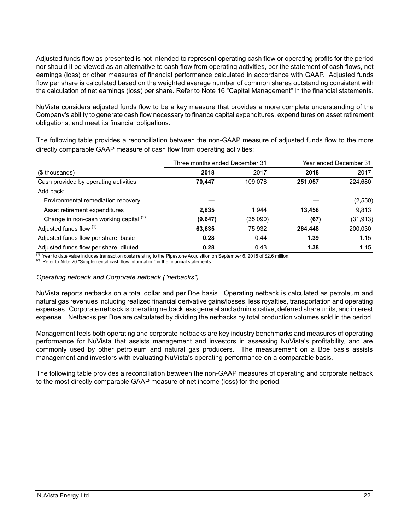Adjusted funds flow as presented is not intended to represent operating cash flow or operating profits for the period nor should it be viewed as an alternative to cash flow from operating activities, per the statement of cash flows, net earnings (loss) or other measures of financial performance calculated in accordance with GAAP. Adjusted funds flow per share is calculated based on the weighted average number of common shares outstanding consistent with the calculation of net earnings (loss) per share. Refer to Note 16 "Capital Management" in the financial statements.

NuVista considers adjusted funds flow to be a key measure that provides a more complete understanding of the Company's ability to generate cash flow necessary to finance capital expenditures, expenditures on asset retirement obligations, and meet its financial obligations.

The following table provides a reconciliation between the non-GAAP measure of adjusted funds flow to the more directly comparable GAAP measure of cash flow from operating activities:

|                                        | Three months ended December 31 |          | Year ended December 31 |           |  |
|----------------------------------------|--------------------------------|----------|------------------------|-----------|--|
| (\$ thousands)                         | 2018                           | 2017     | 2018                   | 2017      |  |
| Cash provided by operating activities  | 70,447                         | 109,078  | 251,057                | 224,680   |  |
| Add back:                              |                                |          |                        |           |  |
| Environmental remediation recovery     |                                |          |                        | (2,550)   |  |
| Asset retirement expenditures          | 2,835                          | 1.944    | 13,458                 | 9,813     |  |
| Change in non-cash working capital (2) | (9,647)                        | (35,090) | (67)                   | (31, 913) |  |
| Adjusted funds flow (1)                | 63,635                         | 75,932   | 264.448                | 200,030   |  |
| Adjusted funds flow per share, basic   | 0.28                           | 0.44     | 1.39                   | 1.15      |  |
| Adjusted funds flow per share, diluted | 0.28                           | 0.43     | 1.38                   | 1.15      |  |

 $<sup>(1)</sup>$  Year to date value includes transaction costs relating to the Pipestone Acquisition on September 6, 2018 of \$2.6 million.</sup>

<sup>(2)</sup> Refer to Note 20 "Supplemental cash flow information" in the financial statements.

## *Operating netback and Corporate netback ("netbacks")*

NuVista reports netbacks on a total dollar and per Boe basis. Operating netback is calculated as petroleum and natural gas revenues including realized financial derivative gains/losses, less royalties, transportation and operating expenses. Corporate netback is operating netback less general and administrative, deferred share units, and interest expense. Netbacks per Boe are calculated by dividing the netbacks by total production volumes sold in the period.

Management feels both operating and corporate netbacks are key industry benchmarks and measures of operating performance for NuVista that assists management and investors in assessing NuVista's profitability, and are commonly used by other petroleum and natural gas producers. The measurement on a Boe basis assists management and investors with evaluating NuVista's operating performance on a comparable basis.

The following table provides a reconciliation between the non-GAAP measures of operating and corporate netback to the most directly comparable GAAP measure of net income (loss) for the period: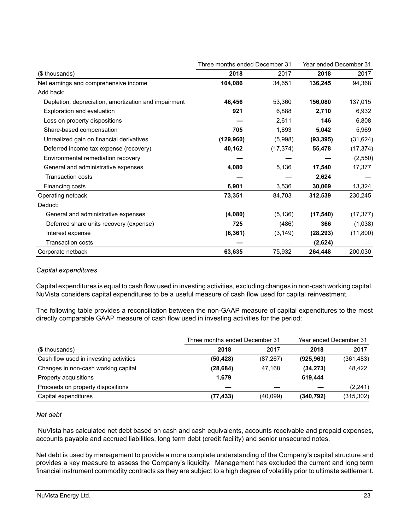|                                                      | Three months ended December 31 |           | Year ended December 31 |           |
|------------------------------------------------------|--------------------------------|-----------|------------------------|-----------|
| (\$ thousands)                                       | 2018                           | 2017      | 2018                   | 2017      |
| Net earnings and comprehensive income                | 104,086                        | 34,651    | 136,245                | 94,368    |
| Add back:                                            |                                |           |                        |           |
| Depletion, depreciation, amortization and impairment | 46,456                         | 53,360    | 156,080                | 137,015   |
| Exploration and evaluation                           | 921                            | 6,888     | 2,710                  | 6,932     |
| Loss on property dispositions                        |                                | 2,611     | 146                    | 6,808     |
| Share-based compensation                             | 705                            | 1,893     | 5,042                  | 5,969     |
| Unrealized gain on financial derivatives             | (129, 960)                     | (5,998)   | (93, 395)              | (31, 624) |
| Deferred income tax expense (recovery)               | 40,162                         | (17, 374) | 55,478                 | (17, 374) |
| Environmental remediation recovery                   |                                |           |                        | (2,550)   |
| General and administrative expenses                  | 4,080                          | 5,136     | 17,540                 | 17,377    |
| <b>Transaction costs</b>                             |                                |           | 2,624                  |           |
| Financing costs                                      | 6,901                          | 3,536     | 30,069                 | 13,324    |
| Operating netback                                    | 73,351                         | 84,703    | 312,539                | 230,245   |
| Deduct:                                              |                                |           |                        |           |
| General and administrative expenses                  | (4,080)                        | (5, 136)  | (17, 540)              | (17, 377) |
| Deferred share units recovery (expense)              | 725                            | (486)     | 366                    | (1,038)   |
| Interest expense                                     | (6, 361)                       | (3, 149)  | (28, 293)              | (11,800)  |
| <b>Transaction costs</b>                             |                                |           | (2,624)                |           |
| Corporate netback                                    | 63,635                         | 75,932    | 264,448                | 200,030   |

## *Capital expenditures*

Capital expenditures is equal to cash flow used in investing activities, excluding changes in non-cash working capital. NuVista considers capital expenditures to be a useful measure of cash flow used for capital reinvestment.

The following table provides a reconciliation between the non-GAAP measure of capital expenditures to the most directly comparable GAAP measure of cash flow used in investing activities for the period:

|                                        | Three months ended December 31 | Year ended December 31 |            |            |
|----------------------------------------|--------------------------------|------------------------|------------|------------|
| (\$ thousands)                         | 2018                           | 2017                   | 2018       | 2017       |
| Cash flow used in investing activities | (50, 428)                      | (87, 267)              | (925, 963) | (361, 483) |
| Changes in non-cash working capital    | (28, 684)                      | 47.168                 | (34,273)   | 48.422     |
| Property acquisitions                  | 1,679                          |                        | 619.444    |            |
| Proceeds on property dispositions      |                                |                        |            | (2, 241)   |
| Capital expenditures                   | (77, 433)                      | (40,099)               | (340, 792) | (315,302)  |

# *Net debt*

 NuVista has calculated net debt based on cash and cash equivalents, accounts receivable and prepaid expenses, accounts payable and accrued liabilities, long term debt (credit facility) and senior unsecured notes.

Net debt is used by management to provide a more complete understanding of the Company's capital structure and provides a key measure to assess the Company's liquidity. Management has excluded the current and long term financial instrument commodity contracts as they are subject to a high degree of volatility prior to ultimate settlement.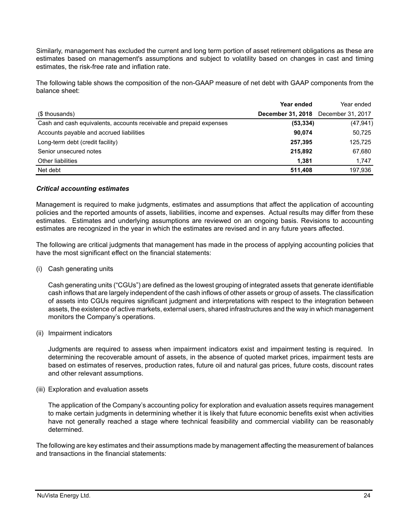Similarly, management has excluded the current and long term portion of asset retirement obligations as these are estimates based on management's assumptions and subject to volatility based on changes in cast and timing estimates, the risk-free rate and inflation rate.

The following table shows the composition of the non-GAAP measure of net debt with GAAP components from the balance sheet:

|                                                                     | Year ended                                 | Year ended |
|---------------------------------------------------------------------|--------------------------------------------|------------|
| (\$ thousands)                                                      | <b>December 31, 2018</b> December 31, 2017 |            |
| Cash and cash equivalents, accounts receivable and prepaid expenses | (53, 334)                                  | (47, 941)  |
| Accounts payable and accrued liabilities                            | 90.074                                     | 50,725     |
| Long-term debt (credit facility)                                    | 257.395                                    | 125,725    |
| Senior unsecured notes                                              | 215,892                                    | 67,680     |
| Other liabilities                                                   | 1.381                                      | 1,747      |
| Net debt                                                            | 511.408                                    | 197,936    |

#### *Critical accounting estimates*

Management is required to make judgments, estimates and assumptions that affect the application of accounting policies and the reported amounts of assets, liabilities, income and expenses. Actual results may differ from these estimates. Estimates and underlying assumptions are reviewed on an ongoing basis. Revisions to accounting estimates are recognized in the year in which the estimates are revised and in any future years affected.

The following are critical judgments that management has made in the process of applying accounting policies that have the most significant effect on the financial statements:

(i) Cash generating units

Cash generating units ("CGUs") are defined as the lowest grouping of integrated assets that generate identifiable cash inflows that are largely independent of the cash inflows of other assets or group of assets. The classification of assets into CGUs requires significant judgment and interpretations with respect to the integration between assets, the existence of active markets, external users, shared infrastructures and the way in which management monitors the Company's operations.

(ii) Impairment indicators

Judgments are required to assess when impairment indicators exist and impairment testing is required. In determining the recoverable amount of assets, in the absence of quoted market prices, impairment tests are based on estimates of reserves, production rates, future oil and natural gas prices, future costs, discount rates and other relevant assumptions.

(iii) Exploration and evaluation assets

The application of the Company's accounting policy for exploration and evaluation assets requires management to make certain judgments in determining whether it is likely that future economic benefits exist when activities have not generally reached a stage where technical feasibility and commercial viability can be reasonably determined.

The following are key estimates and their assumptions made by management affecting the measurement of balances and transactions in the financial statements: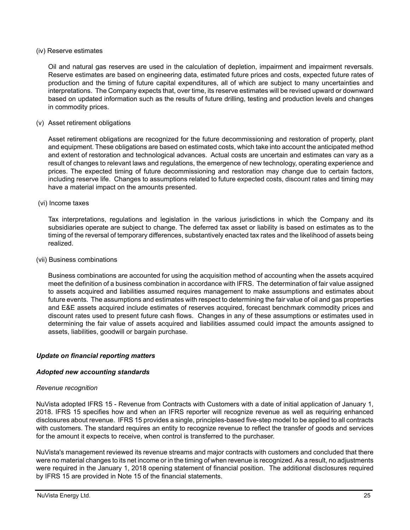#### (iv) Reserve estimates

Oil and natural gas reserves are used in the calculation of depletion, impairment and impairment reversals. Reserve estimates are based on engineering data, estimated future prices and costs, expected future rates of production and the timing of future capital expenditures, all of which are subject to many uncertainties and interpretations. The Company expects that, over time, its reserve estimates will be revised upward or downward based on updated information such as the results of future drilling, testing and production levels and changes in commodity prices.

#### (v) Asset retirement obligations

Asset retirement obligations are recognized for the future decommissioning and restoration of property, plant and equipment. These obligations are based on estimated costs, which take into account the anticipated method and extent of restoration and technological advances. Actual costs are uncertain and estimates can vary as a result of changes to relevant laws and regulations, the emergence of new technology, operating experience and prices. The expected timing of future decommissioning and restoration may change due to certain factors, including reserve life. Changes to assumptions related to future expected costs, discount rates and timing may have a material impact on the amounts presented.

#### (vi) Income taxes

Tax interpretations, regulations and legislation in the various jurisdictions in which the Company and its subsidiaries operate are subject to change. The deferred tax asset or liability is based on estimates as to the timing of the reversal of temporary differences, substantively enacted tax rates and the likelihood of assets being realized.

#### (vii) Business combinations

Business combinations are accounted for using the acquisition method of accounting when the assets acquired meet the definition of a business combination in accordance with IFRS. The determination of fair value assigned to assets acquired and liabilities assumed requires management to make assumptions and estimates about future events. The assumptions and estimates with respect to determining the fair value of oil and gas properties and E&E assets acquired include estimates of reserves acquired, forecast benchmark commodity prices and discount rates used to present future cash flows. Changes in any of these assumptions or estimates used in determining the fair value of assets acquired and liabilities assumed could impact the amounts assigned to assets, liabilities, goodwill or bargain purchase.

## *Update on financial reporting matters*

## *Adopted new accounting standards*

## *Revenue recognition*

NuVista adopted IFRS 15 - Revenue from Contracts with Customers with a date of initial application of January 1, 2018. IFRS 15 specifies how and when an IFRS reporter will recognize revenue as well as requiring enhanced disclosures about revenue. IFRS 15 provides a single, principles-based five-step model to be applied to all contracts with customers. The standard requires an entity to recognize revenue to reflect the transfer of goods and services for the amount it expects to receive, when control is transferred to the purchaser.

NuVista's management reviewed its revenue streams and major contracts with customers and concluded that there were no material changes to its net income or in the timing of when revenue is recognized. As a result, no adjustments were required in the January 1, 2018 opening statement of financial position. The additional disclosures required by IFRS 15 are provided in Note 15 of the financial statements.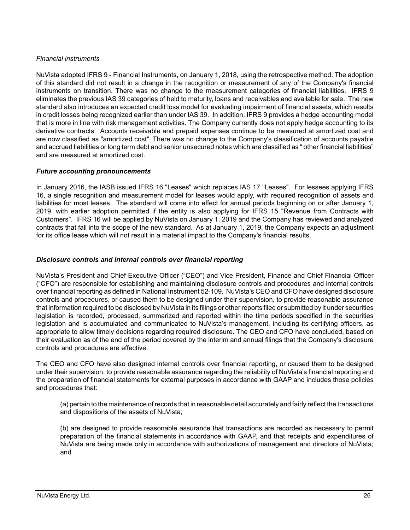# *Financial instruments*

NuVista adopted IFRS 9 - Financial Instruments, on January 1, 2018, using the retrospective method. The adoption of this standard did not result in a change in the recognition or measurement of any of the Company's financial instruments on transition. There was no change to the measurement categories of financial liabilities. IFRS 9 eliminates the previous IAS 39 categories of held to maturity, loans and receivables and available for sale. The new standard also introduces an expected credit loss model for evaluating impairment of financial assets, which results in credit losses being recognized earlier than under IAS 39. In addition, IFRS 9 provides a hedge accounting model that is more in line with risk management activities. The Company currently does not apply hedge accounting to its derivative contracts. Accounts receivable and prepaid expenses continue to be measured at amortized cost and are now classified as "amortized cost". There was no change to the Company's classification of accounts payable and accrued liabilities or long term debt and senior unsecured notes which are classified as " other financial liabilities" and are measured at amortized cost.

# *Future accounting pronouncements*

In January 2016, the IASB issued IFRS 16 "Leases" which replaces IAS 17 "Leases". For lessees applying IFRS 16, a single recognition and measurement model for leases would apply, with required recognition of assets and liabilities for most leases. The standard will come into effect for annual periods beginning on or after January 1, 2019, with earlier adoption permitted if the entity is also applying for IFRS 15 "Revenue from Contracts with Customers". IFRS 16 will be applied by NuVista on January 1, 2019 and the Company has reviewed and analyzed contracts that fall into the scope of the new standard. As at January 1, 2019, the Company expects an adjustment for its office lease which will not result in a material impact to the Company's financial results.

# *Disclosure controls and internal controls over financial reporting*

NuVista's President and Chief Executive Officer ("CEO") and Vice President, Finance and Chief Financial Officer ("CFO") are responsible for establishing and maintaining disclosure controls and procedures and internal controls over financial reporting as defined in National Instrument 52-109. NuVista's CEO and CFO have designed disclosure controls and procedures, or caused them to be designed under their supervision, to provide reasonable assurance that information required to be disclosed by NuVista in its filings or other reports filed or submitted by it under securities legislation is recorded, processed, summarized and reported within the time periods specified in the securities legislation and is accumulated and communicated to NuVista's management, including its certifying officers, as appropriate to allow timely decisions regarding required disclosure. The CEO and CFO have concluded, based on their evaluation as of the end of the period covered by the interim and annual filings that the Company's disclosure controls and procedures are effective.

The CEO and CFO have also designed internal controls over financial reporting, or caused them to be designed under their supervision, to provide reasonable assurance regarding the reliability of NuVista's financial reporting and the preparation of financial statements for external purposes in accordance with GAAP and includes those policies and procedures that:

(a) pertain to the maintenance of records that in reasonable detail accurately and fairly reflect the transactions and dispositions of the assets of NuVista;

(b) are designed to provide reasonable assurance that transactions are recorded as necessary to permit preparation of the financial statements in accordance with GAAP, and that receipts and expenditures of NuVista are being made only in accordance with authorizations of management and directors of NuVista; and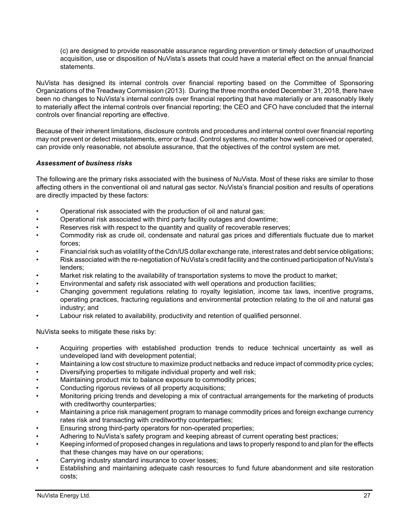(c) are designed to provide reasonable assurance regarding prevention or timely detection of unauthorized acquisition, use or disposition of NuVista's assets that could have a material effect on the annual financial statements.

NuVista has designed its internal controls over financial reporting based on the Committee of Sponsoring Organizations of the Treadway Commission (2013). During the three months ended December 31, 2018, there have been no changes to NuVista's internal controls over financial reporting that have materially or are reasonably likely to materially affect the internal controls over financial reporting; the CEO and CFO have concluded that the internal controls over financial reporting are effective.

Because of their inherent limitations, disclosure controls and procedures and internal control over financial reporting may not prevent or detect misstatements, error or fraud. Control systems, no matter how well conceived or operated, can provide only reasonable, not absolute assurance, that the objectives of the control system are met.

# *Assessment of business risks*

The following are the primary risks associated with the business of NuVista. Most of these risks are similar to those affecting others in the conventional oil and natural gas sector. NuVista's financial position and results of operations are directly impacted by these factors:

- Operational risk associated with the production of oil and natural gas;
- Operational risk associated with third party facility outages and downtime;
- Reserves risk with respect to the quantity and quality of recoverable reserves;
- Commodity risk as crude oil, condensate and natural gas prices and differentials fluctuate due to market forces;
- Financial risk such as volatility of the Cdn/US dollar exchange rate, interest rates and debt service obligations;
- Risk associated with the re-negotiation of NuVista's credit facility and the continued participation of NuVista's lenders;
- Market risk relating to the availability of transportation systems to move the product to market;
- Environmental and safety risk associated with well operations and production facilities;
- Changing government regulations relating to royalty legislation, income tax laws, incentive programs, operating practices, fracturing regulations and environmental protection relating to the oil and natural gas industry; and
- Labour risk related to availability, productivity and retention of qualified personnel.

NuVista seeks to mitigate these risks by:

- Acquiring properties with established production trends to reduce technical uncertainty as well as undeveloped land with development potential;
- Maintaining a low cost structure to maximize product netbacks and reduce impact of commodity price cycles;
- Diversifying properties to mitigate individual property and well risk;
- Maintaining product mix to balance exposure to commodity prices;
- Conducting rigorous reviews of all property acquisitions;
- Monitoring pricing trends and developing a mix of contractual arrangements for the marketing of products with creditworthy counterparties;
- Maintaining a price risk management program to manage commodity prices and foreign exchange currency rates risk and transacting with creditworthy counterparties;
- Ensuring strong third-party operators for non-operated properties;
- Adhering to NuVista's safety program and keeping abreast of current operating best practices;
- Keeping informed of proposed changes in regulations and laws to properly respond to and plan for the effects that these changes may have on our operations;
- Carrying industry standard insurance to cover losses;
- Establishing and maintaining adequate cash resources to fund future abandonment and site restoration costs;